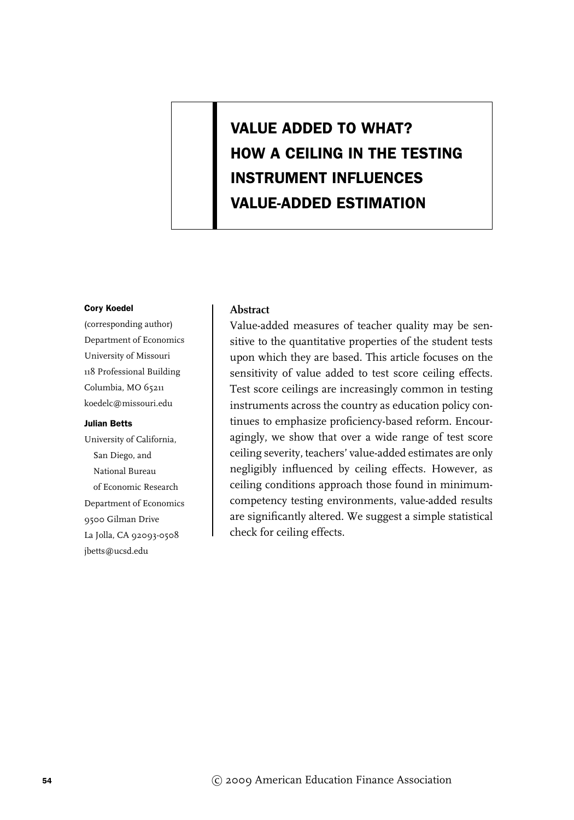# **VALUE ADDED TO WHAT? HOW A CEILING IN THE TESTING INSTRUMENT INFLUENCES VALUE-ADDED ESTIMATION**

#### **Cory Koedel**

(corresponding author) Department of Economics University of Missouri 118 Professional Building Columbia, MO 65211 koedelc@missouri.edu

#### **Julian Betts**

University of California, San Diego, and National Bureau of Economic Research Department of Economics 9500 Gilman Drive La Jolla, CA 92093-0508 jbetts@ucsd.edu

#### **Abstract**

Value-added measures of teacher quality may be sensitive to the quantitative properties of the student tests upon which they are based. This article focuses on the sensitivity of value added to test score ceiling effects. Test score ceilings are increasingly common in testing instruments across the country as education policy continues to emphasize proficiency-based reform. Encouragingly, we show that over a wide range of test score ceiling severity, teachers' value-added estimates are only negligibly influenced by ceiling effects. However, as ceiling conditions approach those found in minimumcompetency testing environments, value-added results are significantly altered. We suggest a simple statistical check for ceiling effects.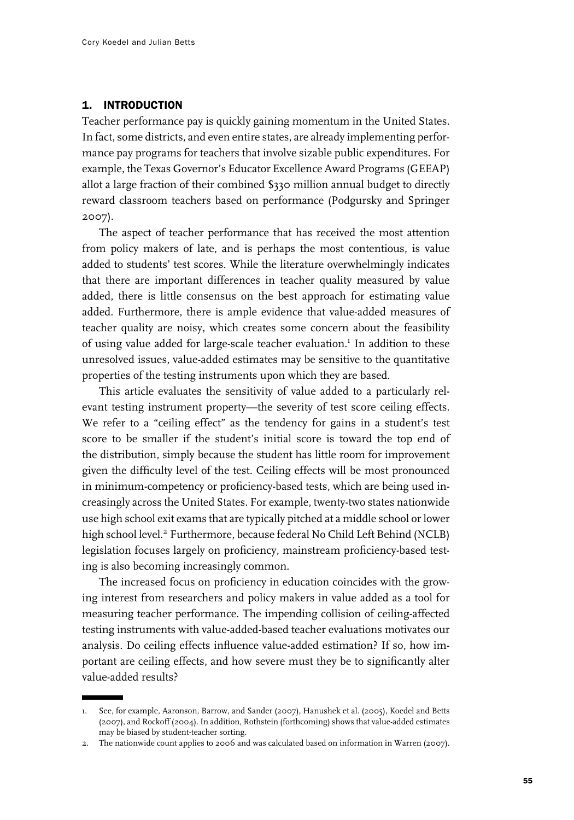## **1. INTRODUCTION**

Teacher performance pay is quickly gaining momentum in the United States. In fact, some districts, and even entire states, are already implementing performance pay programs for teachers that involve sizable public expenditures. For example, the Texas Governor's Educator Excellence Award Programs (GEEAP) allot a large fraction of their combined \$330 million annual budget to directly reward classroom teachers based on performance (Podgursky and Springer 2007).

The aspect of teacher performance that has received the most attention from policy makers of late, and is perhaps the most contentious, is value added to students' test scores. While the literature overwhelmingly indicates that there are important differences in teacher quality measured by value added, there is little consensus on the best approach for estimating value added. Furthermore, there is ample evidence that value-added measures of teacher quality are noisy, which creates some concern about the feasibility of using value added for large-scale teacher evaluation.<sup>1</sup> In addition to these unresolved issues, value-added estimates may be sensitive to the quantitative properties of the testing instruments upon which they are based.

This article evaluates the sensitivity of value added to a particularly relevant testing instrument property—the severity of test score ceiling effects. We refer to a "ceiling effect" as the tendency for gains in a student's test score to be smaller if the student's initial score is toward the top end of the distribution, simply because the student has little room for improvement given the difficulty level of the test. Ceiling effects will be most pronounced in minimum-competency or proficiency-based tests, which are being used increasingly across the United States. For example, twenty-two states nationwide use high school exit exams that are typically pitched at a middle school or lower high school level.<sup>2</sup> Furthermore, because federal No Child Left Behind (NCLB) legislation focuses largely on proficiency, mainstream proficiency-based testing is also becoming increasingly common.

The increased focus on proficiency in education coincides with the growing interest from researchers and policy makers in value added as a tool for measuring teacher performance. The impending collision of ceiling-affected testing instruments with value-added-based teacher evaluations motivates our analysis. Do ceiling effects influence value-added estimation? If so, how important are ceiling effects, and how severe must they be to significantly alter value-added results?

<sup>1</sup>. See, for example, Aaronson, Barrow, and Sander (2007), Hanushek et al. (2005), Koedel and Betts (2007), and Rockoff (2004). In addition, Rothstein (forthcoming) shows that value-added estimates may be biased by student-teacher sorting.

<sup>2.</sup> The nationwide count applies to 2006 and was calculated based on information in Warren (2007).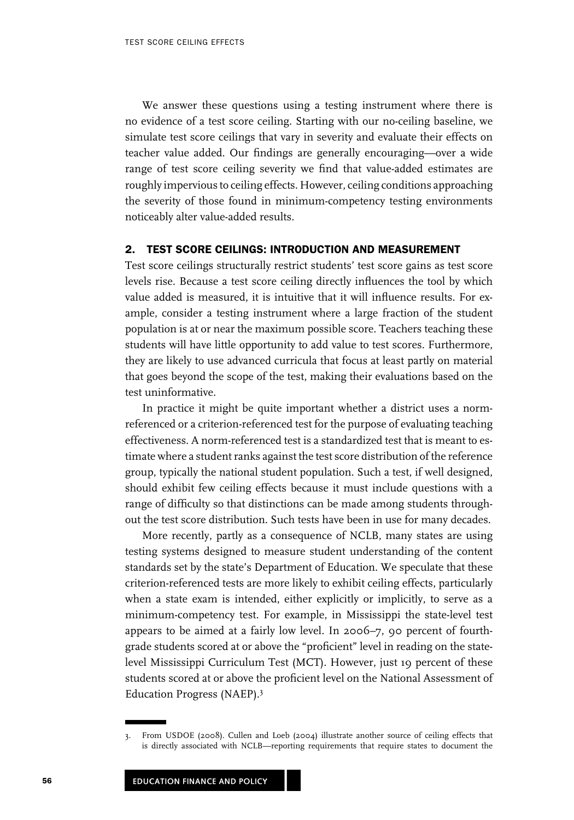We answer these questions using a testing instrument where there is no evidence of a test score ceiling. Starting with our no-ceiling baseline, we simulate test score ceilings that vary in severity and evaluate their effects on teacher value added. Our findings are generally encouraging—over a wide range of test score ceiling severity we find that value-added estimates are roughly impervious to ceiling effects. However, ceiling conditions approaching the severity of those found in minimum-competency testing environments noticeably alter value-added results.

### **2. TEST SCORE CEILINGS: INTRODUCTION AND MEASUREMENT**

Test score ceilings structurally restrict students' test score gains as test score levels rise. Because a test score ceiling directly influences the tool by which value added is measured, it is intuitive that it will influence results. For example, consider a testing instrument where a large fraction of the student population is at or near the maximum possible score. Teachers teaching these students will have little opportunity to add value to test scores. Furthermore, they are likely to use advanced curricula that focus at least partly on material that goes beyond the scope of the test, making their evaluations based on the test uninformative.

In practice it might be quite important whether a district uses a normreferenced or a criterion-referenced test for the purpose of evaluating teaching effectiveness. A norm-referenced test is a standardized test that is meant to estimate where a student ranks against the test score distribution of the reference group, typically the national student population. Such a test, if well designed, should exhibit few ceiling effects because it must include questions with a range of difficulty so that distinctions can be made among students throughout the test score distribution. Such tests have been in use for many decades.

More recently, partly as a consequence of NCLB, many states are using testing systems designed to measure student understanding of the content standards set by the state's Department of Education. We speculate that these criterion-referenced tests are more likely to exhibit ceiling effects, particularly when a state exam is intended, either explicitly or implicitly, to serve as a minimum-competency test. For example, in Mississippi the state-level test appears to be aimed at a fairly low level. In 2006–7, 90 percent of fourthgrade students scored at or above the "proficient" level in reading on the statelevel Mississippi Curriculum Test (MCT). However, just 19 percent of these students scored at or above the proficient level on the National Assessment of Education Progress (NAEP).<sup>3</sup>

<sup>3.</sup> From USDOE (2008). Cullen and Loeb (2004) illustrate another source of ceiling effects that is directly associated with NCLB—reporting requirements that require states to document the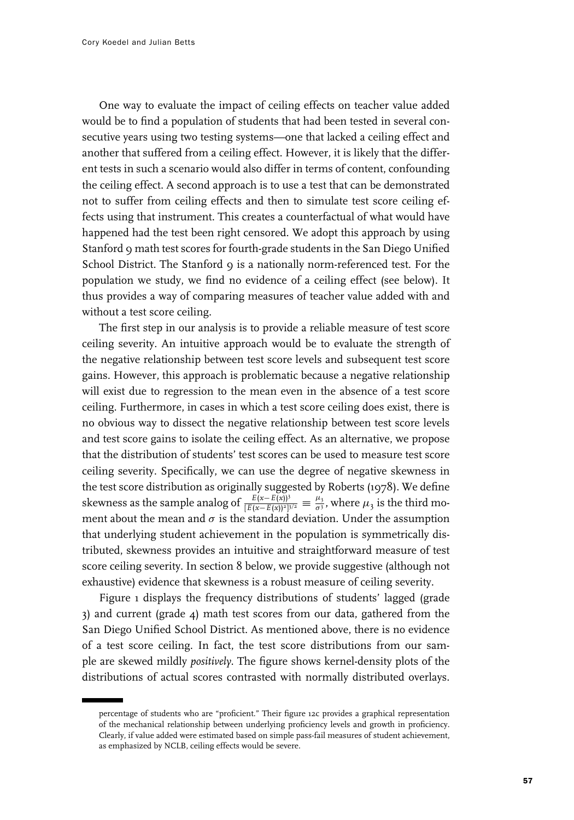One way to evaluate the impact of ceiling effects on teacher value added would be to find a population of students that had been tested in several consecutive years using two testing systems—one that lacked a ceiling effect and another that suffered from a ceiling effect. However, it is likely that the different tests in such a scenario would also differ in terms of content, confounding the ceiling effect. A second approach is to use a test that can be demonstrated not to suffer from ceiling effects and then to simulate test score ceiling effects using that instrument. This creates a counterfactual of what would have happened had the test been right censored. We adopt this approach by using Stanford 9 math test scores for fourth-grade students in the San Diego Unified School District. The Stanford 9 is a nationally norm-referenced test. For the population we study, we find no evidence of a ceiling effect (see below). It thus provides a way of comparing measures of teacher value added with and without a test score ceiling.

The first step in our analysis is to provide a reliable measure of test score ceiling severity. An intuitive approach would be to evaluate the strength of the negative relationship between test score levels and subsequent test score gains. However, this approach is problematic because a negative relationship will exist due to regression to the mean even in the absence of a test score ceiling. Furthermore, in cases in which a test score ceiling does exist, there is no obvious way to dissect the negative relationship between test score levels and test score gains to isolate the ceiling effect. As an alternative, we propose that the distribution of students' test scores can be used to measure test score ceiling severity. Specifically, we can use the degree of negative skewness in the test score distribution as originally suggested by Roberts (1978). We define skewness as the sample analog of  $\frac{E(x - E(x))^3}{[E(x - E(x))^2]^{3/2}} \equiv \frac{\mu_3}{\sigma^3}$ , where  $\mu_3$  is the third moment about the mean and  $\sigma$  is the standard deviation. Under the assumption that underlying student achievement in the population is symmetrically distributed, skewness provides an intuitive and straightforward measure of test score ceiling severity. In section 8 below, we provide suggestive (although not exhaustive) evidence that skewness is a robust measure of ceiling severity.

Figure 1 displays the frequency distributions of students' lagged (grade 3) and current (grade 4) math test scores from our data, gathered from the San Diego Unified School District. As mentioned above, there is no evidence of a test score ceiling. In fact, the test score distributions from our sample are skewed mildly *positively*. The figure shows kernel-density plots of the distributions of actual scores contrasted with normally distributed overlays.

percentage of students who are "proficient." Their figure 12c provides a graphical representation of the mechanical relationship between underlying proficiency levels and growth in proficiency. Clearly, if value added were estimated based on simple pass-fail measures of student achievement, as emphasized by NCLB, ceiling effects would be severe.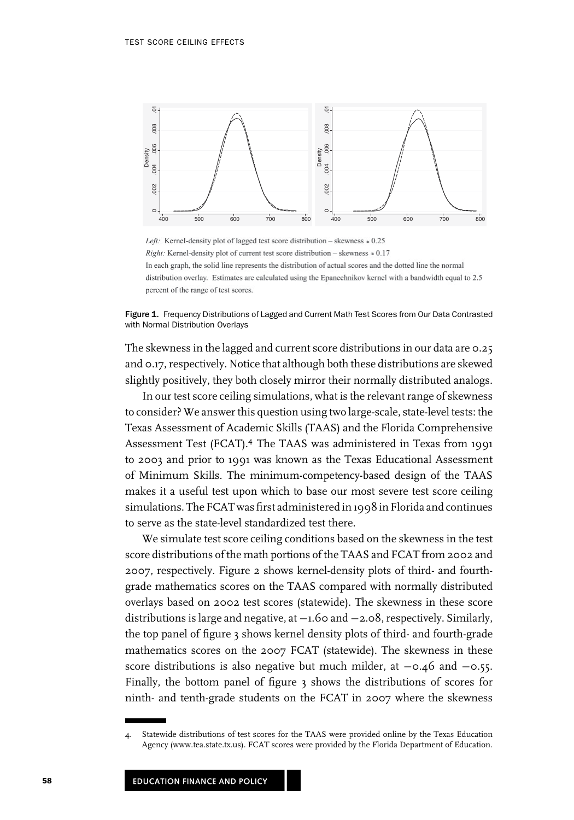

Left: Kernel-density plot of lagged test score distribution - skewness  $\approx 0.25$ Right: Kernel-density plot of current test score distribution - skewness  $* 0.17$ In each graph, the solid line represents the distribution of actual scores and the dotted line the normal distribution overlay. Estimates are calculated using the Epanechnikov kernel with a bandwidth equal to 2.5 percent of the range of test scores.

Figure 1. Frequency Distributions of Lagged and Current Math Test Scores from Our Data Contrasted with Normal Distribution Overlays

The skewness in the lagged and current score distributions in our data are 0.25 and 0.17, respectively. Notice that although both these distributions are skewed slightly positively, they both closely mirror their normally distributed analogs.

In our test score ceiling simulations, what is the relevant range of skewness to consider? We answer this question using two large-scale, state-level tests: the Texas Assessment of Academic Skills (TAAS) and the Florida Comprehensive Assessment Test (FCAT).<sup>4</sup> The TAAS was administered in Texas from 1991 to 2003 and prior to 1991 was known as the Texas Educational Assessment of Minimum Skills. The minimum-competency-based design of the TAAS makes it a useful test upon which to base our most severe test score ceiling simulations. The FCAT was first administered in 1998 in Florida and continues to serve as the state-level standardized test there.

We simulate test score ceiling conditions based on the skewness in the test score distributions of the math portions of the TAAS and FCAT from 2002 and 2007, respectively. Figure 2 shows kernel-density plots of third- and fourthgrade mathematics scores on the TAAS compared with normally distributed overlays based on 2002 test scores (statewide). The skewness in these score distributions is large and negative, at −1.60 and −2.08, respectively. Similarly, the top panel of figure 3 shows kernel density plots of third- and fourth-grade mathematics scores on the 2007 FCAT (statewide). The skewness in these score distributions is also negative but much milder, at  $-0.46$  and  $-0.55$ . Finally, the bottom panel of figure 3 shows the distributions of scores for ninth- and tenth-grade students on the FCAT in 2007 where the skewness

<sup>4.</sup> Statewide distributions of test scores for the TAAS were provided online by the Texas Education Agency (www.tea.state.tx.us). FCAT scores were provided by the Florida Department of Education.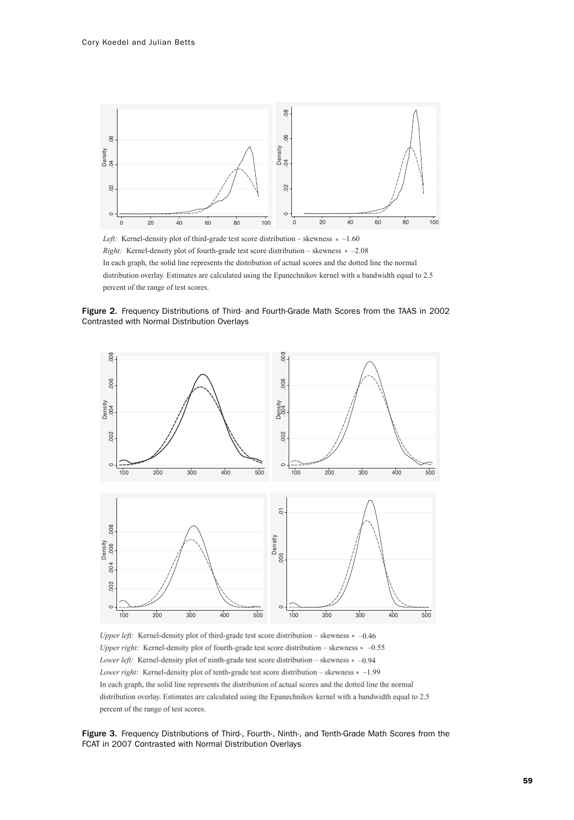

*Right:* Kernel-density plot of fourth-grade test score distribution – skewness  $\approx -2.08$ *Left:* Kernel-density plot of third-grade test score distribution – skewness  $\approx -1.60$ In each graph, the solid line represents the distribution of actual scores and the dotted line the normal distribution overlay. Estimates are calculated using the Epanechnikov kernel with a bandwidth equal to 2.5 percent of the range of test scores.

Figure 2. Frequency Distributions of Third- and Fourth-Grade Math Scores from the TAAS in 2002 Contrasted with Normal Distribution Overlays



 $\approx -0.46$  $\approx -0.55$  $\approx -0.94$  $=-1.99$ distribution overlay. Estimates are calculated using the Epanechnikov kernel with a bandwidth equal to 2.5 percent of the range of test scores.

Figure 3. Frequency Distributions of Third-, Fourth-, Ninth-, and Tenth-Grade Math Scores from the FCAT in 2007 Contrasted with Normal Distribution Overlays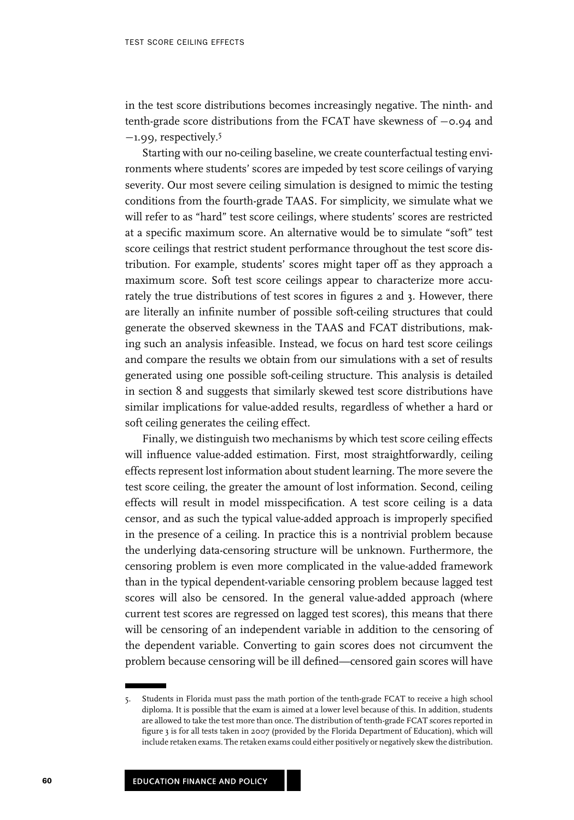in the test score distributions becomes increasingly negative. The ninth- and tenth-grade score distributions from the FCAT have skewness of −0.94 and −1.99, respectively.<sup>5</sup>

Starting with our no-ceiling baseline, we create counterfactual testing environments where students' scores are impeded by test score ceilings of varying severity. Our most severe ceiling simulation is designed to mimic the testing conditions from the fourth-grade TAAS. For simplicity, we simulate what we will refer to as "hard" test score ceilings, where students' scores are restricted at a specific maximum score. An alternative would be to simulate "soft" test score ceilings that restrict student performance throughout the test score distribution. For example, students' scores might taper off as they approach a maximum score. Soft test score ceilings appear to characterize more accurately the true distributions of test scores in figures 2 and 3. However, there are literally an infinite number of possible soft-ceiling structures that could generate the observed skewness in the TAAS and FCAT distributions, making such an analysis infeasible. Instead, we focus on hard test score ceilings and compare the results we obtain from our simulations with a set of results generated using one possible soft-ceiling structure. This analysis is detailed in section 8 and suggests that similarly skewed test score distributions have similar implications for value-added results, regardless of whether a hard or soft ceiling generates the ceiling effect.

Finally, we distinguish two mechanisms by which test score ceiling effects will influence value-added estimation. First, most straightforwardly, ceiling effects represent lost information about student learning. The more severe the test score ceiling, the greater the amount of lost information. Second, ceiling effects will result in model misspecification. A test score ceiling is a data censor, and as such the typical value-added approach is improperly specified in the presence of a ceiling. In practice this is a nontrivial problem because the underlying data-censoring structure will be unknown. Furthermore, the censoring problem is even more complicated in the value-added framework than in the typical dependent-variable censoring problem because lagged test scores will also be censored. In the general value-added approach (where current test scores are regressed on lagged test scores), this means that there will be censoring of an independent variable in addition to the censoring of the dependent variable. Converting to gain scores does not circumvent the problem because censoring will be ill defined—censored gain scores will have

<sup>5.</sup> Students in Florida must pass the math portion of the tenth-grade FCAT to receive a high school diploma. It is possible that the exam is aimed at a lower level because of this. In addition, students are allowed to take the test more than once. The distribution of tenth-grade FCAT scores reported in figure 3 is for all tests taken in 2007 (provided by the Florida Department of Education), which will include retaken exams. The retaken exams could either positively or negatively skew the distribution.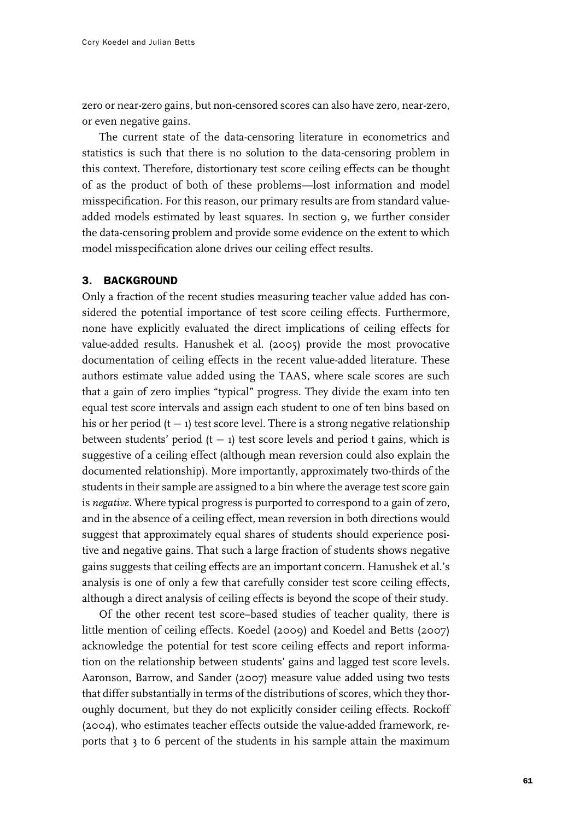zero or near-zero gains, but non-censored scores can also have zero, near-zero, or even negative gains.

The current state of the data-censoring literature in econometrics and statistics is such that there is no solution to the data-censoring problem in this context. Therefore, distortionary test score ceiling effects can be thought of as the product of both of these problems—lost information and model misspecification. For this reason, our primary results are from standard valueadded models estimated by least squares. In section 9, we further consider the data-censoring problem and provide some evidence on the extent to which model misspecification alone drives our ceiling effect results.

#### **3. BACKGROUND**

Only a fraction of the recent studies measuring teacher value added has considered the potential importance of test score ceiling effects. Furthermore, none have explicitly evaluated the direct implications of ceiling effects for value-added results. Hanushek et al. (2005) provide the most provocative documentation of ceiling effects in the recent value-added literature. These authors estimate value added using the TAAS, where scale scores are such that a gain of zero implies "typical" progress. They divide the exam into ten equal test score intervals and assign each student to one of ten bins based on his or her period  $(t - i)$  test score level. There is a strong negative relationship between students' period  $(t - 1)$  test score levels and period t gains, which is suggestive of a ceiling effect (although mean reversion could also explain the documented relationship). More importantly, approximately two-thirds of the students in their sample are assigned to a bin where the average test score gain is *negative.* Where typical progress is purported to correspond to a gain of zero, and in the absence of a ceiling effect, mean reversion in both directions would suggest that approximately equal shares of students should experience positive and negative gains. That such a large fraction of students shows negative gains suggests that ceiling effects are an important concern. Hanushek et al.'s analysis is one of only a few that carefully consider test score ceiling effects, although a direct analysis of ceiling effects is beyond the scope of their study.

Of the other recent test score–based studies of teacher quality, there is little mention of ceiling effects. Koedel (2009) and Koedel and Betts (2007) acknowledge the potential for test score ceiling effects and report information on the relationship between students' gains and lagged test score levels. Aaronson, Barrow, and Sander (2007) measure value added using two tests that differ substantially in terms of the distributions of scores, which they thoroughly document, but they do not explicitly consider ceiling effects. Rockoff (2004), who estimates teacher effects outside the value-added framework, reports that 3 to 6 percent of the students in his sample attain the maximum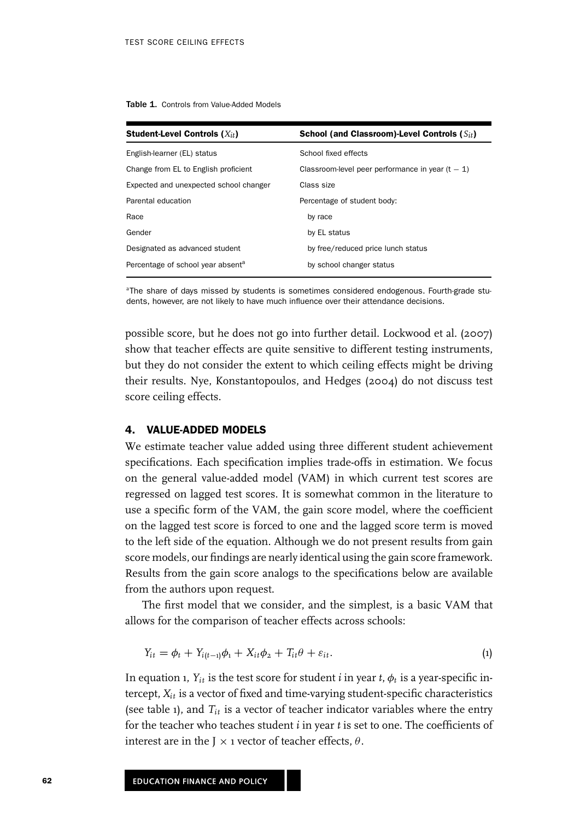|  | Table 1. Controls from Value-Added Models |  |  |
|--|-------------------------------------------|--|--|
|--|-------------------------------------------|--|--|

| <b>Student-Level Controls (<math>X_{it}</math>)</b> | School (and Classroom)-Level Controls $(S_{it})$   |
|-----------------------------------------------------|----------------------------------------------------|
| English-learner (EL) status                         | School fixed effects                               |
| Change from EL to English proficient                | Classroom-level peer performance in year $(t - 1)$ |
| Expected and unexpected school changer              | Class size                                         |
| Parental education                                  | Percentage of student body:                        |
| Race                                                | by race                                            |
| Gender                                              | by EL status                                       |
| Designated as advanced student                      | by free/reduced price lunch status                 |
| Percentage of school year absent <sup>a</sup>       | by school changer status                           |

aThe share of days missed by students is sometimes considered endogenous. Fourth-grade students, however, are not likely to have much influence over their attendance decisions.

possible score, but he does not go into further detail. Lockwood et al. (2007) show that teacher effects are quite sensitive to different testing instruments, but they do not consider the extent to which ceiling effects might be driving their results. Nye, Konstantopoulos, and Hedges (2004) do not discuss test score ceiling effects.

#### **4. VALUE-ADDED MODELS**

We estimate teacher value added using three different student achievement specifications. Each specification implies trade-offs in estimation. We focus on the general value-added model (VAM) in which current test scores are regressed on lagged test scores. It is somewhat common in the literature to use a specific form of the VAM, the gain score model, where the coefficient on the lagged test score is forced to one and the lagged score term is moved to the left side of the equation. Although we do not present results from gain score models, our findings are nearly identical using the gain score framework. Results from the gain score analogs to the specifications below are available from the authors upon request.

The first model that we consider, and the simplest, is a basic VAM that allows for the comparison of teacher effects across schools:

$$
Y_{it} = \phi_t + Y_{i(t-1)}\phi_1 + X_{it}\phi_2 + T_{it}\theta + \varepsilon_{it}.
$$
\n
$$
\tag{1}
$$

In equation 1,  $Y_{it}$  is the test score for student *i* in year *t*,  $\phi_t$  is a year-specific intercept,  $X_{it}$  is a vector of fixed and time-varying student-specific characteristics (see table 1), and  $T_{it}$  is a vector of teacher indicator variables where the entry for the teacher who teaches student *i* in year *t* is set to one. The coefficients of interest are in the J  $\times$  1 vector of teacher effects,  $\theta$ .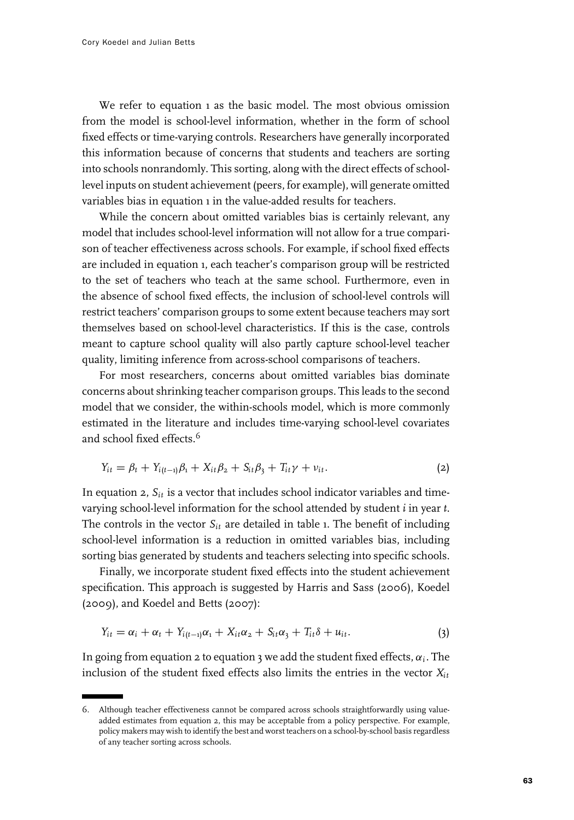We refer to equation 1 as the basic model. The most obvious omission from the model is school-level information, whether in the form of school fixed effects or time-varying controls. Researchers have generally incorporated this information because of concerns that students and teachers are sorting into schools nonrandomly. This sorting, along with the direct effects of schoollevel inputs on student achievement (peers, for example), will generate omitted variables bias in equation 1 in the value-added results for teachers.

While the concern about omitted variables bias is certainly relevant, any model that includes school-level information will not allow for a true comparison of teacher effectiveness across schools. For example, if school fixed effects are included in equation 1, each teacher's comparison group will be restricted to the set of teachers who teach at the same school. Furthermore, even in the absence of school fixed effects, the inclusion of school-level controls will restrict teachers' comparison groups to some extent because teachers may sort themselves based on school-level characteristics. If this is the case, controls meant to capture school quality will also partly capture school-level teacher quality, limiting inference from across-school comparisons of teachers.

For most researchers, concerns about omitted variables bias dominate concerns about shrinking teacher comparison groups. This leads to the second model that we consider, the within-schools model, which is more commonly estimated in the literature and includes time-varying school-level covariates and school fixed effects.<sup>6</sup>

$$
Y_{it} = \beta_t + Y_{i(t-1)}\beta_1 + X_{it}\beta_2 + S_{it}\beta_3 + T_{it}\gamma + \nu_{it}.
$$
 (2)

In equation  $2$ ,  $S_{it}$  is a vector that includes school indicator variables and timevarying school-level information for the school attended by student *i* in year *t*. The controls in the vector  $S_{it}$  are detailed in table 1. The benefit of including school-level information is a reduction in omitted variables bias, including sorting bias generated by students and teachers selecting into specific schools.

Finally, we incorporate student fixed effects into the student achievement specification. This approach is suggested by Harris and Sass (2006), Koedel (2009), and Koedel and Betts (2007):

$$
Y_{it} = \alpha_i + \alpha_t + Y_{i(t-1)}\alpha_1 + X_{it}\alpha_2 + S_{it}\alpha_3 + T_{it}\delta + u_{it}.
$$
\n(3)

In going from equation 2 to equation 3 we add the student fixed effects,  $\alpha_i$ . The inclusion of the student fixed effects also limits the entries in the vector *Xit*

<sup>6.</sup> Although teacher effectiveness cannot be compared across schools straightforwardly using valueadded estimates from equation 2, this may be acceptable from a policy perspective. For example, policy makers may wish to identify the best and worst teachers on a school-by-school basis regardless of any teacher sorting across schools.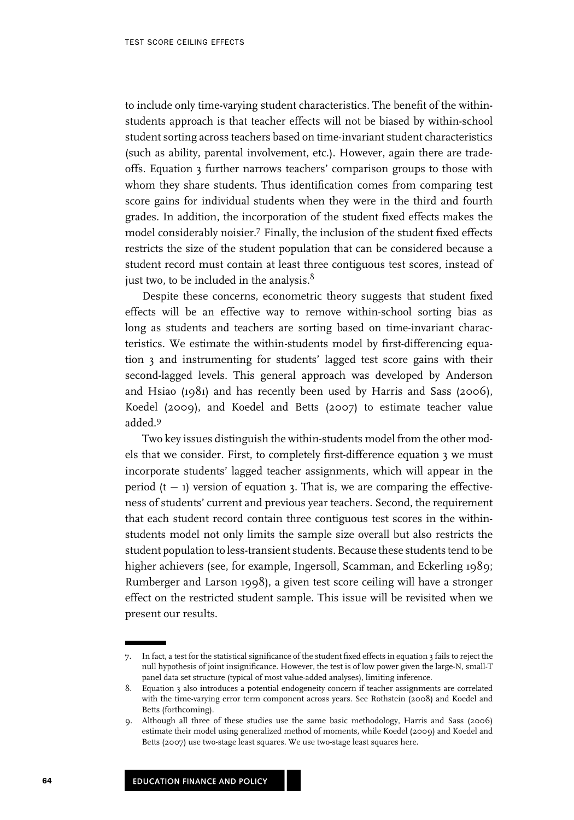to include only time-varying student characteristics. The benefit of the withinstudents approach is that teacher effects will not be biased by within-school student sorting across teachers based on time-invariant student characteristics (such as ability, parental involvement, etc.). However, again there are tradeoffs. Equation 3 further narrows teachers' comparison groups to those with whom they share students. Thus identification comes from comparing test score gains for individual students when they were in the third and fourth grades. In addition, the incorporation of the student fixed effects makes the model considerably noisier.<sup>7</sup> Finally, the inclusion of the student fixed effects restricts the size of the student population that can be considered because a student record must contain at least three contiguous test scores, instead of just two, to be included in the analysis. $8<sup>8</sup>$ 

Despite these concerns, econometric theory suggests that student fixed effects will be an effective way to remove within-school sorting bias as long as students and teachers are sorting based on time-invariant characteristics. We estimate the within-students model by first-differencing equation 3 and instrumenting for students' lagged test score gains with their second-lagged levels. This general approach was developed by Anderson and Hsiao (1981) and has recently been used by Harris and Sass (2006), Koedel (2009), and Koedel and Betts (2007) to estimate teacher value added.<sup>9</sup>

Two key issues distinguish the within-students model from the other models that we consider. First, to completely first-difference equation 3 we must incorporate students' lagged teacher assignments, which will appear in the period  $(t - i)$  version of equation 3. That is, we are comparing the effectiveness of students' current and previous year teachers. Second, the requirement that each student record contain three contiguous test scores in the withinstudents model not only limits the sample size overall but also restricts the student population to less-transient students. Because these students tend to be higher achievers (see, for example, Ingersoll, Scamman, and Eckerling 1989; Rumberger and Larson 1998), a given test score ceiling will have a stronger effect on the restricted student sample. This issue will be revisited when we present our results.

<sup>7.</sup> In fact, a test for the statistical significance of the student fixed effects in equation 3 fails to reject the null hypothesis of joint insignificance. However, the test is of low power given the large-N, small-T panel data set structure (typical of most value-added analyses), limiting inference.

<sup>8.</sup> Equation 3 also introduces a potential endogeneity concern if teacher assignments are correlated with the time-varying error term component across years. See Rothstein (2008) and Koedel and Betts (forthcoming).

<sup>9.</sup> Although all three of these studies use the same basic methodology, Harris and Sass (2006) estimate their model using generalized method of moments, while Koedel (2009) and Koedel and Betts (2007) use two-stage least squares. We use two-stage least squares here.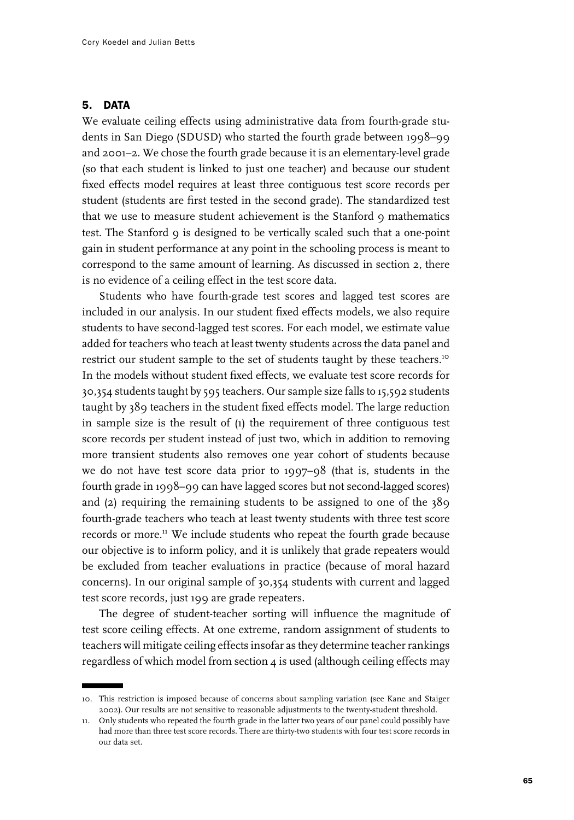#### **5. DATA**

We evaluate ceiling effects using administrative data from fourth-grade students in San Diego (SDUSD) who started the fourth grade between 1998–99 and 2001–2. We chose the fourth grade because it is an elementary-level grade (so that each student is linked to just one teacher) and because our student fixed effects model requires at least three contiguous test score records per student (students are first tested in the second grade). The standardized test that we use to measure student achievement is the Stanford 9 mathematics test. The Stanford 9 is designed to be vertically scaled such that a one-point gain in student performance at any point in the schooling process is meant to correspond to the same amount of learning. As discussed in section 2, there is no evidence of a ceiling effect in the test score data.

Students who have fourth-grade test scores and lagged test scores are included in our analysis. In our student fixed effects models, we also require students to have second-lagged test scores. For each model, we estimate value added for teachers who teach at least twenty students across the data panel and restrict our student sample to the set of students taught by these teachers.<sup>10</sup> In the models without student fixed effects, we evaluate test score records for 30,354 students taught by 595 teachers. Our sample size falls to 15,592 students taught by 389 teachers in the student fixed effects model. The large reduction in sample size is the result of (1) the requirement of three contiguous test score records per student instead of just two, which in addition to removing more transient students also removes one year cohort of students because we do not have test score data prior to 1997–98 (that is, students in the fourth grade in 1998–99 can have lagged scores but not second-lagged scores) and (2) requiring the remaining students to be assigned to one of the 389 fourth-grade teachers who teach at least twenty students with three test score records or more.<sup>11</sup> We include students who repeat the fourth grade because our objective is to inform policy, and it is unlikely that grade repeaters would be excluded from teacher evaluations in practice (because of moral hazard concerns). In our original sample of 30,354 students with current and lagged test score records, just 199 are grade repeaters.

The degree of student-teacher sorting will influence the magnitude of test score ceiling effects. At one extreme, random assignment of students to teachers will mitigate ceiling effects insofar as they determine teacher rankings regardless of which model from section 4 is used (although ceiling effects may

<sup>1</sup>0. This restriction is imposed because of concerns about sampling variation (see Kane and Staiger 2002). Our results are not sensitive to reasonable adjustments to the twenty-student threshold.

<sup>11</sup>. Only students who repeated the fourth grade in the latter two years of our panel could possibly have had more than three test score records. There are thirty-two students with four test score records in our data set.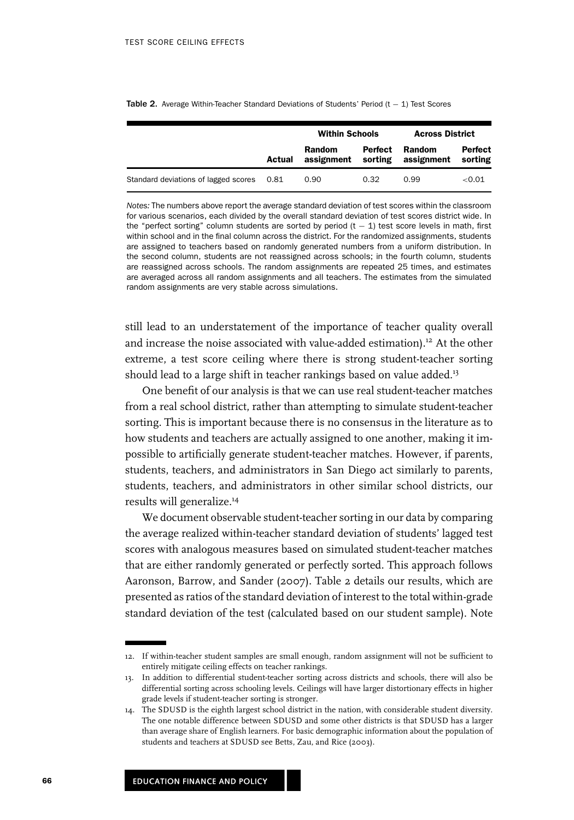|                                      |        | <b>Within Schools</b>       |                    | <b>Across District</b> |                    |
|--------------------------------------|--------|-----------------------------|--------------------|------------------------|--------------------|
|                                      | Actual | <b>Random</b><br>assignment | Perfect<br>sorting | Random<br>assignment   | Perfect<br>sorting |
| Standard deviations of lagged scores | 0.81   | 0.90                        | 0.32               | 0.99                   | < 0.01             |

Table 2. Average Within-Teacher Standard Deviations of Students' Period  $(t - 1)$  Test Scores

*Notes:* The numbers above report the average standard deviation of test scores within the classroom for various scenarios, each divided by the overall standard deviation of test scores district wide. In the "perfect sorting" column students are sorted by period  $(t - 1)$  test score levels in math, first within school and in the final column across the district. For the randomized assignments, students are assigned to teachers based on randomly generated numbers from a uniform distribution. In the second column, students are not reassigned across schools; in the fourth column, students are reassigned across schools. The random assignments are repeated 25 times, and estimates are averaged across all random assignments and all teachers. The estimates from the simulated random assignments are very stable across simulations.

still lead to an understatement of the importance of teacher quality overall and increase the noise associated with value-added estimation).<sup>12</sup> At the other extreme, a test score ceiling where there is strong student-teacher sorting should lead to a large shift in teacher rankings based on value added.<sup>13</sup>

One benefit of our analysis is that we can use real student-teacher matches from a real school district, rather than attempting to simulate student-teacher sorting. This is important because there is no consensus in the literature as to how students and teachers are actually assigned to one another, making it impossible to artificially generate student-teacher matches. However, if parents, students, teachers, and administrators in San Diego act similarly to parents, students, teachers, and administrators in other similar school districts, our results will generalize.<sup>1</sup><sup>4</sup>

We document observable student-teacher sorting in our data by comparing the average realized within-teacher standard deviation of students' lagged test scores with analogous measures based on simulated student-teacher matches that are either randomly generated or perfectly sorted. This approach follows Aaronson, Barrow, and Sander (2007). Table 2 details our results, which are presented as ratios of the standard deviation of interest to the total within-grade standard deviation of the test (calculated based on our student sample). Note

<sup>1</sup>2. If within-teacher student samples are small enough, random assignment will not be sufficient to entirely mitigate ceiling effects on teacher rankings.

<sup>1</sup>3. In addition to differential student-teacher sorting across districts and schools, there will also be differential sorting across schooling levels. Ceilings will have larger distortionary effects in higher grade levels if student-teacher sorting is stronger.

<sup>1</sup>4. The SDUSD is the eighth largest school district in the nation, with considerable student diversity. The one notable difference between SDUSD and some other districts is that SDUSD has a larger than average share of English learners. For basic demographic information about the population of students and teachers at SDUSD see Betts, Zau, and Rice (2003).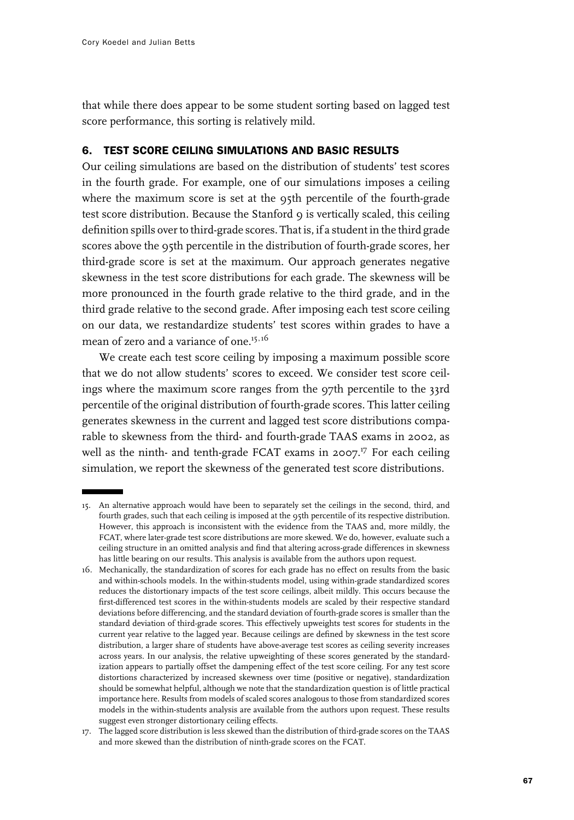that while there does appear to be some student sorting based on lagged test score performance, this sorting is relatively mild.

## **6. TEST SCORE CEILING SIMULATIONS AND BASIC RESULTS**

Our ceiling simulations are based on the distribution of students' test scores in the fourth grade. For example, one of our simulations imposes a ceiling where the maximum score is set at the 95th percentile of the fourth-grade test score distribution. Because the Stanford 9 is vertically scaled, this ceiling definition spills over to third-grade scores. That is, if a student in the third grade scores above the 95th percentile in the distribution of fourth-grade scores, her third-grade score is set at the maximum. Our approach generates negative skewness in the test score distributions for each grade. The skewness will be more pronounced in the fourth grade relative to the third grade, and in the third grade relative to the second grade. After imposing each test score ceiling on our data, we restandardize students' test scores within grades to have a mean of zero and a variance of one.<sup>15,16</sup>

We create each test score ceiling by imposing a maximum possible score that we do not allow students' scores to exceed. We consider test score ceilings where the maximum score ranges from the 97th percentile to the 33rd percentile of the original distribution of fourth-grade scores. This latter ceiling generates skewness in the current and lagged test score distributions comparable to skewness from the third- and fourth-grade TAAS exams in 2002, as well as the ninth- and tenth-grade FCAT exams in 2007.<sup>17</sup> For each ceiling simulation, we report the skewness of the generated test score distributions.

<sup>1</sup>5. An alternative approach would have been to separately set the ceilings in the second, third, and fourth grades, such that each ceiling is imposed at the 95th percentile of its respective distribution. However, this approach is inconsistent with the evidence from the TAAS and, more mildly, the FCAT, where later-grade test score distributions are more skewed. We do, however, evaluate such a ceiling structure in an omitted analysis and find that altering across-grade differences in skewness has little bearing on our results. This analysis is available from the authors upon request.

<sup>1</sup>6. Mechanically, the standardization of scores for each grade has no effect on results from the basic and within-schools models. In the within-students model, using within-grade standardized scores reduces the distortionary impacts of the test score ceilings, albeit mildly. This occurs because the first-differenced test scores in the within-students models are scaled by their respective standard deviations before differencing, and the standard deviation of fourth-grade scores is smaller than the standard deviation of third-grade scores. This effectively upweights test scores for students in the current year relative to the lagged year. Because ceilings are defined by skewness in the test score distribution, a larger share of students have above-average test scores as ceiling severity increases across years. In our analysis, the relative upweighting of these scores generated by the standardization appears to partially offset the dampening effect of the test score ceiling. For any test score distortions characterized by increased skewness over time (positive or negative), standardization should be somewhat helpful, although we note that the standardization question is of little practical importance here. Results from models of scaled scores analogous to those from standardized scores models in the within-students analysis are available from the authors upon request. These results suggest even stronger distortionary ceiling effects.

<sup>1</sup>7. The lagged score distribution is less skewed than the distribution of third-grade scores on the TAAS and more skewed than the distribution of ninth-grade scores on the FCAT.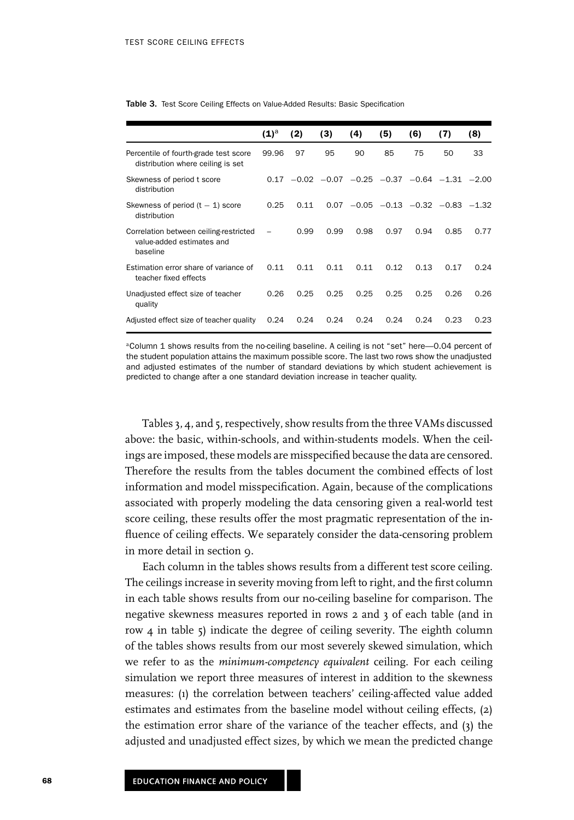|                                                                                 | $(1)^a$ | (2)  | (3)  | (4)                                                     | (5)  | (6)  | (7)  | (8)  |
|---------------------------------------------------------------------------------|---------|------|------|---------------------------------------------------------|------|------|------|------|
| Percentile of fourth-grade test score<br>distribution where ceiling is set      | 99.96   | 97   | 95   | 90                                                      | 85   | 75   | 50   | 33   |
| Skewness of period t score<br>distribution                                      |         |      |      | $0.17 - 0.02 - 0.07 - 0.25 - 0.37 - 0.64 - 1.31 - 2.00$ |      |      |      |      |
| Skewness of period $(t - 1)$ score<br>distribution                              | 0.25    | 0.11 |      | $0.07 -0.05 -0.13 -0.32 -0.83 -1.32$                    |      |      |      |      |
| Correlation between ceiling-restricted<br>value-added estimates and<br>baseline |         | 0.99 | 0.99 | 0.98                                                    | 0.97 | 0.94 | 0.85 | 0.77 |
| Estimation error share of variance of<br>teacher fixed effects                  | 0.11    | 0.11 | 0.11 | 0.11                                                    | 0.12 | 0.13 | 0.17 | 0.24 |
| Unadjusted effect size of teacher<br>quality                                    | 0.26    | 0.25 | 0.25 | 0.25                                                    | 0.25 | 0.25 | 0.26 | 0.26 |
| Adjusted effect size of teacher quality                                         | 0.24    | 0.24 | 0.24 | 0.24                                                    | 0.24 | 0.24 | 0.23 | 0.23 |

Table 3. Test Score Ceiling Effects on Value-Added Results: Basic Specification

aColumn 1 shows results from the no-ceiling baseline. A ceiling is not "set" here-0.04 percent of the student population attains the maximum possible score. The last two rows show the unadjusted and adjusted estimates of the number of standard deviations by which student achievement is predicted to change after a one standard deviation increase in teacher quality.

Tables 3, 4, and 5, respectively, show results from the three VAMs discussed above: the basic, within-schools, and within-students models. When the ceilings are imposed, these models are misspecified because the data are censored. Therefore the results from the tables document the combined effects of lost information and model misspecification. Again, because of the complications associated with properly modeling the data censoring given a real-world test score ceiling, these results offer the most pragmatic representation of the influence of ceiling effects. We separately consider the data-censoring problem in more detail in section 9.

Each column in the tables shows results from a different test score ceiling. The ceilings increase in severity moving from left to right, and the first column in each table shows results from our no-ceiling baseline for comparison. The negative skewness measures reported in rows 2 and 3 of each table (and in row 4 in table 5) indicate the degree of ceiling severity. The eighth column of the tables shows results from our most severely skewed simulation, which we refer to as the *minimum-competency equivalent* ceiling. For each ceiling simulation we report three measures of interest in addition to the skewness measures: (1) the correlation between teachers' ceiling-affected value added estimates and estimates from the baseline model without ceiling effects, (2) the estimation error share of the variance of the teacher effects, and (3) the adjusted and unadjusted effect sizes, by which we mean the predicted change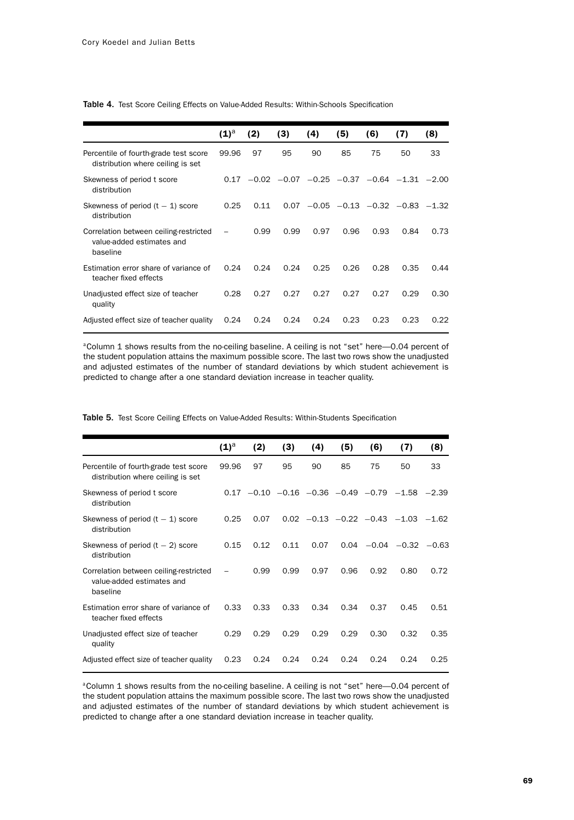|                                                                                 | $(1)^a$ | (2)  | (3)  | (4)                                              | (5)  | (6)  | (7)  | (8)  |
|---------------------------------------------------------------------------------|---------|------|------|--------------------------------------------------|------|------|------|------|
| Percentile of fourth-grade test score<br>distribution where ceiling is set      | 99.96   | 97   | 95   | 90                                               | 85   | 75   | 50   | 33   |
| Skewness of period t score<br>distribution                                      |         |      |      | $0.17 -0.02 -0.07 -0.25 -0.37 -0.64 -1.31 -2.00$ |      |      |      |      |
| Skewness of period $(t - 1)$ score<br>distribution                              | 0.25    | 0.11 |      | $0.07 -0.05 -0.13 -0.32 -0.83 -1.32$             |      |      |      |      |
| Correlation between ceiling-restricted<br>value-added estimates and<br>baseline |         | 0.99 | 0.99 | 0.97                                             | 0.96 | 0.93 | 0.84 | 0.73 |
| Estimation error share of variance of<br>teacher fixed effects                  | 0.24    | 0.24 | 0.24 | 0.25                                             | 0.26 | 0.28 | 0.35 | 0.44 |
| Unadjusted effect size of teacher<br>quality                                    | 0.28    | 0.27 | 0.27 | 0.27                                             | 0.27 | 0.27 | 0.29 | 0.30 |
| Adjusted effect size of teacher quality                                         | 0.24    | 0.24 | 0.24 | 0.24                                             | 0.23 | 0.23 | 0.23 | 0.22 |

Table 4. Test Score Ceiling Effects on Value-Added Results: Within-Schools Specification

aColumn 1 shows results from the no-ceiling baseline. A ceiling is not "set" here-0.04 percent of the student population attains the maximum possible score. The last two rows show the unadjusted and adjusted estimates of the number of standard deviations by which student achievement is predicted to change after a one standard deviation increase in teacher quality.

|  |  |  |  |  |  | Table 5. Test Score Ceiling Effects on Value-Added Results: Within-Students Specification |  |
|--|--|--|--|--|--|-------------------------------------------------------------------------------------------|--|
|--|--|--|--|--|--|-------------------------------------------------------------------------------------------|--|

|                                                                                 | $(1)^a$ | (2)  | (3)  | (4)  | (5)  | (6)  | (7)                                              | (8)  |
|---------------------------------------------------------------------------------|---------|------|------|------|------|------|--------------------------------------------------|------|
| Percentile of fourth-grade test score<br>distribution where ceiling is set      | 99.96   | 97   | 95   | 90   | 85   | 75   | 50                                               | 33   |
| Skewness of period t score<br>distribution                                      |         |      |      |      |      |      | $0.17 -0.10 -0.16 -0.36 -0.49 -0.79 -1.58 -2.39$ |      |
| Skewness of period $(t - 1)$ score<br>distribution                              | 0.25    | 0.07 |      |      |      |      | $0.02 -0.13 -0.22 -0.43 -1.03 -1.62$             |      |
| Skewness of period $(t - 2)$ score<br>distribution                              | 0.15    | 0.12 | 0.11 | 0.07 |      |      | $0.04 -0.04 -0.32 -0.63$                         |      |
| Correlation between ceiling-restricted<br>value-added estimates and<br>baseline |         | 0.99 | 0.99 | 0.97 | 0.96 | 0.92 | 0.80                                             | 0.72 |
| Estimation error share of variance of<br>teacher fixed effects                  | 0.33    | 0.33 | 0.33 | 0.34 | 0.34 | 0.37 | 0.45                                             | 0.51 |
| Unadjusted effect size of teacher<br>quality                                    | 0.29    | 0.29 | 0.29 | 0.29 | 0.29 | 0.30 | 0.32                                             | 0.35 |
| Adjusted effect size of teacher quality                                         | 0.23    | 0.24 | 0.24 | 0.24 | 0.24 | 0.24 | 0.24                                             | 0.25 |

aColumn 1 shows results from the no-ceiling baseline. A ceiling is not "set" here-0.04 percent of the student population attains the maximum possible score. The last two rows show the unadjusted and adjusted estimates of the number of standard deviations by which student achievement is predicted to change after a one standard deviation increase in teacher quality.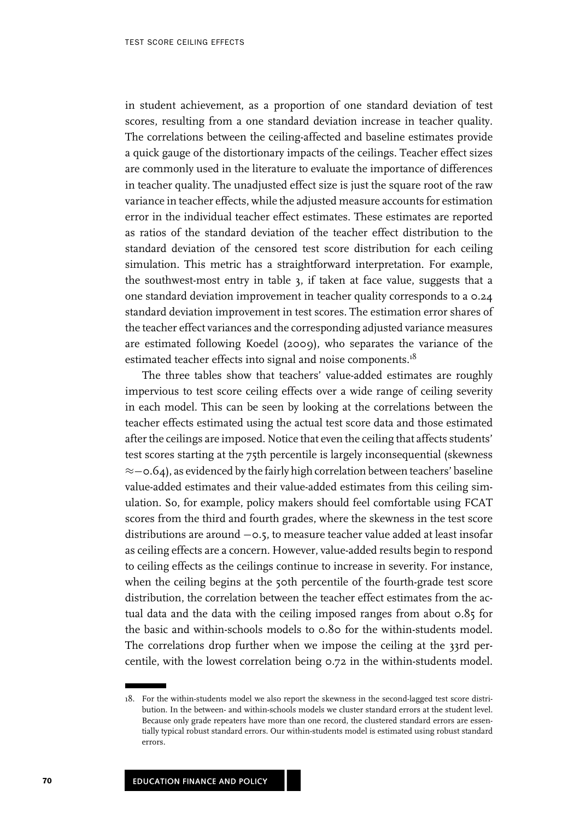in student achievement, as a proportion of one standard deviation of test scores, resulting from a one standard deviation increase in teacher quality. The correlations between the ceiling-affected and baseline estimates provide a quick gauge of the distortionary impacts of the ceilings. Teacher effect sizes are commonly used in the literature to evaluate the importance of differences in teacher quality. The unadjusted effect size is just the square root of the raw variance in teacher effects, while the adjusted measure accounts for estimation error in the individual teacher effect estimates. These estimates are reported as ratios of the standard deviation of the teacher effect distribution to the standard deviation of the censored test score distribution for each ceiling simulation. This metric has a straightforward interpretation. For example, the southwest-most entry in table 3, if taken at face value, suggests that a one standard deviation improvement in teacher quality corresponds to a 0.24 standard deviation improvement in test scores. The estimation error shares of the teacher effect variances and the corresponding adjusted variance measures are estimated following Koedel (2009), who separates the variance of the estimated teacher effects into signal and noise components.<sup>18</sup>

The three tables show that teachers' value-added estimates are roughly impervious to test score ceiling effects over a wide range of ceiling severity in each model. This can be seen by looking at the correlations between the teacher effects estimated using the actual test score data and those estimated after the ceilings are imposed. Notice that even the ceiling that affects students' test scores starting at the 75th percentile is largely inconsequential (skewness ≈−0.64), as evidenced by the fairly high correlation between teachers' baseline value-added estimates and their value-added estimates from this ceiling simulation. So, for example, policy makers should feel comfortable using FCAT scores from the third and fourth grades, where the skewness in the test score distributions are around −0.5, to measure teacher value added at least insofar as ceiling effects are a concern. However, value-added results begin to respond to ceiling effects as the ceilings continue to increase in severity. For instance, when the ceiling begins at the 50th percentile of the fourth-grade test score distribution, the correlation between the teacher effect estimates from the actual data and the data with the ceiling imposed ranges from about 0.85 for the basic and within-schools models to 0.80 for the within-students model. The correlations drop further when we impose the ceiling at the 33rd percentile, with the lowest correlation being 0.72 in the within-students model.

<sup>1</sup>8. For the within-students model we also report the skewness in the second-lagged test score distribution. In the between- and within-schools models we cluster standard errors at the student level. Because only grade repeaters have more than one record, the clustered standard errors are essentially typical robust standard errors. Our within-students model is estimated using robust standard errors.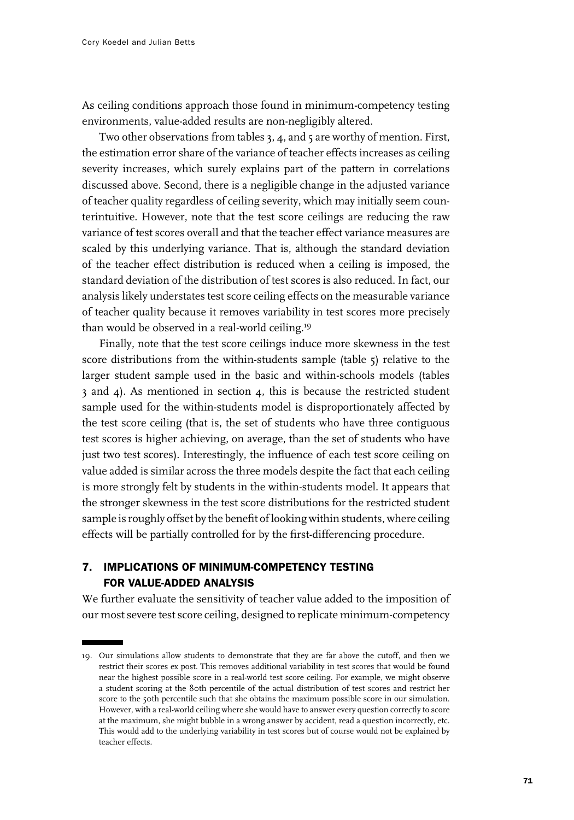As ceiling conditions approach those found in minimum-competency testing environments, value-added results are non-negligibly altered.

Two other observations from tables 3, 4, and 5 are worthy of mention. First, the estimation error share of the variance of teacher effects increases as ceiling severity increases, which surely explains part of the pattern in correlations discussed above. Second, there is a negligible change in the adjusted variance of teacher quality regardless of ceiling severity, which may initially seem counterintuitive. However, note that the test score ceilings are reducing the raw variance of test scores overall and that the teacher effect variance measures are scaled by this underlying variance. That is, although the standard deviation of the teacher effect distribution is reduced when a ceiling is imposed, the standard deviation of the distribution of test scores is also reduced. In fact, our analysis likely understates test score ceiling effects on the measurable variance of teacher quality because it removes variability in test scores more precisely than would be observed in a real-world ceiling.<sup>19</sup>

Finally, note that the test score ceilings induce more skewness in the test score distributions from the within-students sample (table 5) relative to the larger student sample used in the basic and within-schools models (tables 3 and 4). As mentioned in section 4, this is because the restricted student sample used for the within-students model is disproportionately affected by the test score ceiling (that is, the set of students who have three contiguous test scores is higher achieving, on average, than the set of students who have just two test scores). Interestingly, the influence of each test score ceiling on value added is similar across the three models despite the fact that each ceiling is more strongly felt by students in the within-students model. It appears that the stronger skewness in the test score distributions for the restricted student sample is roughly offset by the benefit of looking within students, where ceiling effects will be partially controlled for by the first-differencing procedure.

# **7. IMPLICATIONS OF MINIMUM-COMPETENCY TESTING FOR VALUE-ADDED ANALYSIS**

We further evaluate the sensitivity of teacher value added to the imposition of our most severe test score ceiling, designed to replicate minimum-competency

<sup>1</sup>9. Our simulations allow students to demonstrate that they are far above the cutoff, and then we restrict their scores ex post. This removes additional variability in test scores that would be found near the highest possible score in a real-world test score ceiling. For example, we might observe a student scoring at the 80th percentile of the actual distribution of test scores and restrict her score to the 50th percentile such that she obtains the maximum possible score in our simulation. However, with a real-world ceiling where she would have to answer every question correctly to score at the maximum, she might bubble in a wrong answer by accident, read a question incorrectly, etc. This would add to the underlying variability in test scores but of course would not be explained by teacher effects.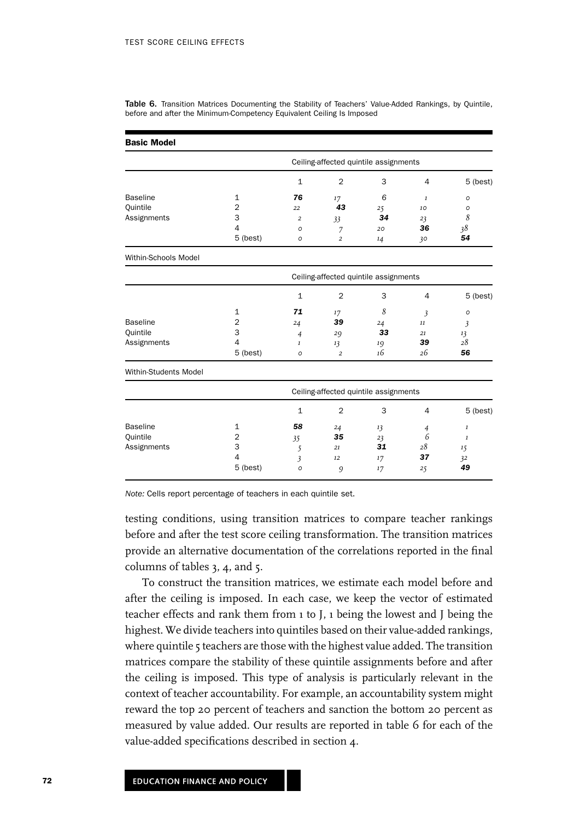Table 6. Transition Matrices Documenting the Stability of Teachers' Value-Added Rankings, by Quintile, before and after the Minimum-Competency Equivalent Ceiling Is Imposed

| 1<br>$\overline{2}$ | $\mathbf{1}$<br>76 | $\overline{2}$ | Ceiling-affected quintile assignments<br>3 | 4            |                                                                                                  |
|---------------------|--------------------|----------------|--------------------------------------------|--------------|--------------------------------------------------------------------------------------------------|
|                     |                    |                |                                            |              |                                                                                                  |
|                     |                    |                |                                            |              | $5$ (best)                                                                                       |
|                     |                    | 17             | 6                                          | $\mathbf{1}$ | $\circ$                                                                                          |
|                     | 22                 | 43             | 25                                         | 10           | $\circ$                                                                                          |
|                     | $\overline{2}$     | 33             | 34                                         | 23           | 8                                                                                                |
| 4                   | $\Omega$           | 7              | 20                                         | 36           | 38                                                                                               |
| $5$ (best)          | $\circ$            | $\overline{a}$ | 14                                         | 30           | 54                                                                                               |
|                     |                    |                |                                            |              |                                                                                                  |
|                     |                    |                |                                            |              |                                                                                                  |
|                     | $\mathbf{1}$       | $\overline{2}$ | 3                                          | 4            | $5$ (best)                                                                                       |
| 1                   | 71                 | 17             | 8                                          | 3            | О                                                                                                |
| $\overline{2}$      | 24                 | 39             | 24                                         | 11           | $\overline{\mathbf{3}}$                                                                          |
| 3                   | $\overline{4}$     | 29             | 33                                         | 21           | 13                                                                                               |
| 4                   | 1                  | 13             | 19                                         | 39           | 28                                                                                               |
| $5$ (best)          | O                  | $\overline{2}$ | 16                                         | 26           | 56                                                                                               |
|                     |                    |                |                                            |              |                                                                                                  |
|                     |                    |                |                                            |              |                                                                                                  |
|                     | $\mathbf{1}$       | $\overline{2}$ | 3                                          | 4            | $5$ (best)                                                                                       |
| $\mathbf{1}$        | 58                 | 24             | 13                                         |              | $\mathbf{1}$                                                                                     |
| $\overline{2}$      | 35                 | 35             | 23                                         | 6            | 1                                                                                                |
| 3                   | 5                  | 21             | 31                                         | 28           | 15                                                                                               |
| 4                   | 3                  | 12             | 17                                         | 37           | 32                                                                                               |
| $5$ (best)          | $\circ$            | 9              | 17                                         | 25           | 49                                                                                               |
|                     | 3                  |                |                                            |              | Ceiling-affected quintile assignments<br>Ceiling-affected quintile assignments<br>$\overline{4}$ |

*Note:* Cells report percentage of teachers in each quintile set.

testing conditions, using transition matrices to compare teacher rankings before and after the test score ceiling transformation. The transition matrices provide an alternative documentation of the correlations reported in the final columns of tables 3, 4, and 5.

To construct the transition matrices, we estimate each model before and after the ceiling is imposed. In each case, we keep the vector of estimated teacher effects and rank them from 1 to J, 1 being the lowest and J being the highest. We divide teachers into quintiles based on their value-added rankings, where quintile 5 teachers are those with the highest value added. The transition matrices compare the stability of these quintile assignments before and after the ceiling is imposed. This type of analysis is particularly relevant in the context of teacher accountability. For example, an accountability system might reward the top 20 percent of teachers and sanction the bottom 20 percent as measured by value added. Our results are reported in table 6 for each of the value-added specifications described in section 4.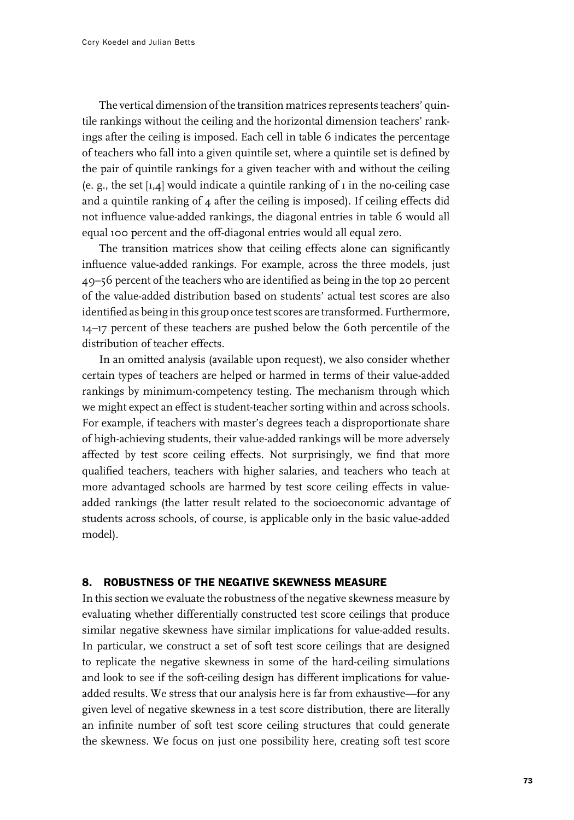The vertical dimension of the transition matrices represents teachers' quintile rankings without the ceiling and the horizontal dimension teachers' rankings after the ceiling is imposed. Each cell in table 6 indicates the percentage of teachers who fall into a given quintile set, where a quintile set is defined by the pair of quintile rankings for a given teacher with and without the ceiling (e. g., the set  $[1,4]$  would indicate a quintile ranking of 1 in the no-ceiling case and a quintile ranking of 4 after the ceiling is imposed). If ceiling effects did not influence value-added rankings, the diagonal entries in table 6 would all equal 100 percent and the off-diagonal entries would all equal zero.

The transition matrices show that ceiling effects alone can significantly influence value-added rankings. For example, across the three models, just 49–56 percent of the teachers who are identified as being in the top 20 percent of the value-added distribution based on students' actual test scores are also identified as being in this group once test scores are transformed. Furthermore, 14–17 percent of these teachers are pushed below the 60th percentile of the distribution of teacher effects.

In an omitted analysis (available upon request), we also consider whether certain types of teachers are helped or harmed in terms of their value-added rankings by minimum-competency testing. The mechanism through which we might expect an effect is student-teacher sorting within and across schools. For example, if teachers with master's degrees teach a disproportionate share of high-achieving students, their value-added rankings will be more adversely affected by test score ceiling effects. Not surprisingly, we find that more qualified teachers, teachers with higher salaries, and teachers who teach at more advantaged schools are harmed by test score ceiling effects in valueadded rankings (the latter result related to the socioeconomic advantage of students across schools, of course, is applicable only in the basic value-added model).

#### **8. ROBUSTNESS OF THE NEGATIVE SKEWNESS MEASURE**

In this section we evaluate the robustness of the negative skewness measure by evaluating whether differentially constructed test score ceilings that produce similar negative skewness have similar implications for value-added results. In particular, we construct a set of soft test score ceilings that are designed to replicate the negative skewness in some of the hard-ceiling simulations and look to see if the soft-ceiling design has different implications for valueadded results. We stress that our analysis here is far from exhaustive—for any given level of negative skewness in a test score distribution, there are literally an infinite number of soft test score ceiling structures that could generate the skewness. We focus on just one possibility here, creating soft test score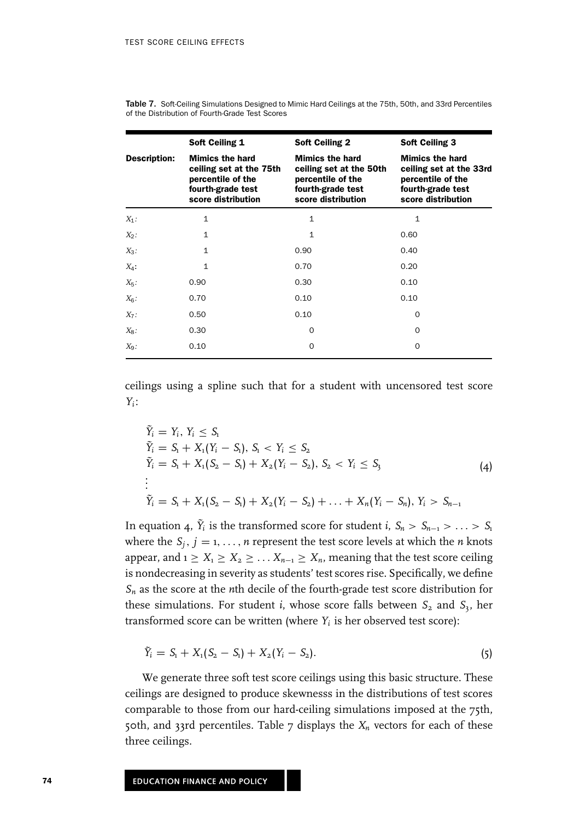|                     | Soft Ceiling 1                                                                                                    | <b>Soft Ceiling 2</b>                                                                                             | <b>Soft Ceiling 3</b>                                                                                             |
|---------------------|-------------------------------------------------------------------------------------------------------------------|-------------------------------------------------------------------------------------------------------------------|-------------------------------------------------------------------------------------------------------------------|
| <b>Description:</b> | <b>Mimics the hard</b><br>ceiling set at the 75th<br>percentile of the<br>fourth-grade test<br>score distribution | <b>Mimics the hard</b><br>ceiling set at the 50th<br>percentile of the<br>fourth-grade test<br>score distribution | <b>Mimics the hard</b><br>ceiling set at the 33rd<br>percentile of the<br>fourth-grade test<br>score distribution |
| $X_1$ :             | $\mathbf{1}$                                                                                                      | 1                                                                                                                 | 1                                                                                                                 |
| $X_2$ :             | $\mathbf{1}$                                                                                                      | 1                                                                                                                 | 0.60                                                                                                              |
| $X_3$ :             | $\mathbf{1}$                                                                                                      | 0.90                                                                                                              | 0.40                                                                                                              |
| $X_4$ :             | $\mathbf{1}$                                                                                                      | 0.70                                                                                                              | 0.20                                                                                                              |
| $X_5$ :             | 0.90                                                                                                              | 0.30                                                                                                              | 0.10                                                                                                              |
| $X_6$ :             | 0.70                                                                                                              | 0.10                                                                                                              | 0.10                                                                                                              |
| $X_7$ :             | 0.50                                                                                                              | 0.10                                                                                                              | $\Omega$                                                                                                          |
| $X_8$ :             | 0.30                                                                                                              | 0                                                                                                                 | $\Omega$                                                                                                          |
| $X_9$ :             | 0.10                                                                                                              | 0                                                                                                                 | $\Omega$                                                                                                          |

Table 7. Soft-Ceiling Simulations Designed to Mimic Hard Ceilings at the 75th, 50th, and 33rd Percentiles of the Distribution of Fourth-Grade Test Scores

ceilings using a spline such that for a student with uncensored test score *Yi* :

$$
\tilde{Y}_i = Y_i, Y_i \leq S_i
$$
\n
$$
\tilde{Y}_i = S_i + X_1(Y_i - S_1), S_i < Y_i \leq S_2
$$
\n
$$
\tilde{Y}_i = S_i + X_1(S_2 - S_1) + X_2(Y_i - S_2), S_2 < Y_i \leq S_3
$$
\n
$$
\vdots
$$
\n
$$
\tilde{Y}_i = S_i + X_1(S_2 - S_1) + X_2(Y_i - S_2) + \ldots + X_n(Y_i - S_n), Y_i > S_{n-1}
$$
\n(4)

In equation 4,  $\tilde{Y}_i$  is the transformed score for student *i*,  $S_n > S_{n-1} > \ldots > S_1$ where the  $S_i$ ,  $j = 1, \ldots, n$  represent the test score levels at which the *n* knots appear, and  $1 \geq X_1 \geq X_2 \geq \ldots X_{n-1} \geq X_n$ , meaning that the test score ceiling is nondecreasing in severity as students' test scores rise. Specifically, we define *Sn* as the score at the *n*th decile of the fourth-grade test score distribution for these simulations. For student *i*, whose score falls between  $S_2$  and  $S_3$ , her transformed score can be written (where  $Y_i$  is her observed test score):

$$
\tilde{Y}_i = S_1 + X_1(S_2 - S_1) + X_2(Y_i - S_2). \tag{5}
$$

We generate three soft test score ceilings using this basic structure. These ceilings are designed to produce skewnesss in the distributions of test scores comparable to those from our hard-ceiling simulations imposed at the 75th, 50th, and 33rd percentiles. Table  $7$  displays the  $X_n$  vectors for each of these three ceilings.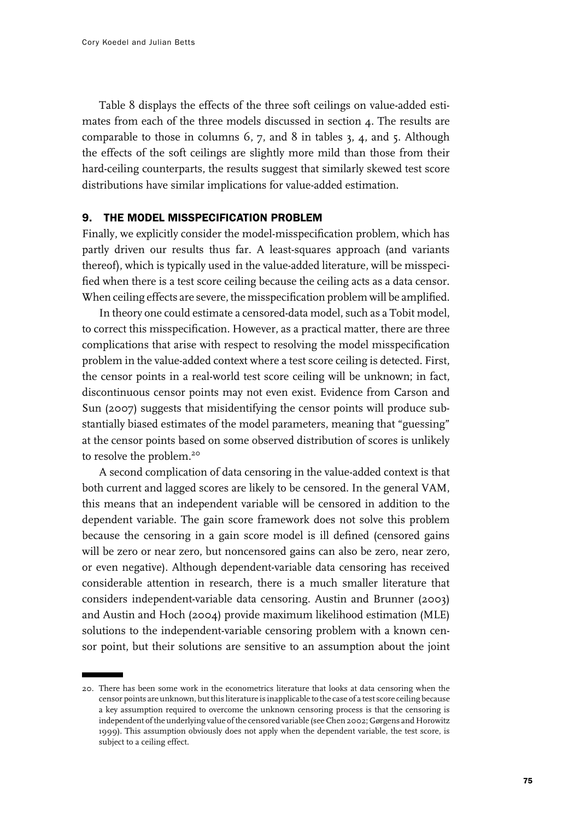Table 8 displays the effects of the three soft ceilings on value-added estimates from each of the three models discussed in section 4. The results are comparable to those in columns 6, 7, and 8 in tables 3, 4, and 5. Although the effects of the soft ceilings are slightly more mild than those from their hard-ceiling counterparts, the results suggest that similarly skewed test score distributions have similar implications for value-added estimation.

#### **9. THE MODEL MISSPECIFICATION PROBLEM**

Finally, we explicitly consider the model-misspecification problem, which has partly driven our results thus far. A least-squares approach (and variants thereof), which is typically used in the value-added literature, will be misspecified when there is a test score ceiling because the ceiling acts as a data censor. When ceiling effects are severe, the misspecification problem will be amplified.

In theory one could estimate a censored-data model, such as a Tobit model, to correct this misspecification. However, as a practical matter, there are three complications that arise with respect to resolving the model misspecification problem in the value-added context where a test score ceiling is detected. First, the censor points in a real-world test score ceiling will be unknown; in fact, discontinuous censor points may not even exist. Evidence from Carson and Sun (2007) suggests that misidentifying the censor points will produce substantially biased estimates of the model parameters, meaning that "guessing" at the censor points based on some observed distribution of scores is unlikely to resolve the problem.<sup>20</sup>

A second complication of data censoring in the value-added context is that both current and lagged scores are likely to be censored. In the general VAM, this means that an independent variable will be censored in addition to the dependent variable. The gain score framework does not solve this problem because the censoring in a gain score model is ill defined (censored gains will be zero or near zero, but noncensored gains can also be zero, near zero, or even negative). Although dependent-variable data censoring has received considerable attention in research, there is a much smaller literature that considers independent-variable data censoring. Austin and Brunner (2003) and Austin and Hoch (2004) provide maximum likelihood estimation (MLE) solutions to the independent-variable censoring problem with a known censor point, but their solutions are sensitive to an assumption about the joint

<sup>20.</sup> There has been some work in the econometrics literature that looks at data censoring when the censor points are unknown, but this literature is inapplicable to the case of a test score ceiling because a key assumption required to overcome the unknown censoring process is that the censoring is independent of the underlying value of the censored variable (see Chen 2002; Gørgens and Horowitz 1999). This assumption obviously does not apply when the dependent variable, the test score, is subject to a ceiling effect.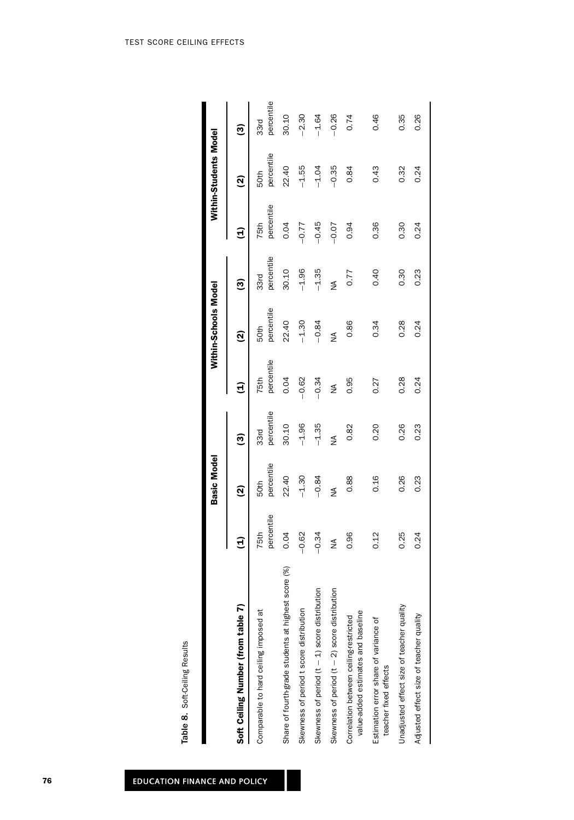|                                                                              |                    | <b>Basic Model</b> |                    |                    | Within-Schools Model |                                |                    | Within-Students Model |                        |
|------------------------------------------------------------------------------|--------------------|--------------------|--------------------|--------------------|----------------------|--------------------------------|--------------------|-----------------------|------------------------|
| Soft Ceiling Number (from table 7                                            | ਚੁ                 | ତ୍ର                | ල                  | ਰੁ                 | ତ୍ର                  | ම                              | ਰੁ                 | ତ୍ର                   | $\widehat{\mathbf{e}}$ |
| Comparable to hard ceiling imposed at                                        | percentile<br>75th | percentile<br>50th | percentile<br>33rd | percentile<br>75th | percentile<br>50th   | percentile<br>33 <sub>rd</sub> | percentile<br>75th | percentile<br>50th    | percentile<br>33rd     |
| Share of fourth-grade students at highest score (%)                          | 0.04               | 22.40              | 30.10              | 0.04               | 22.40                | 30.10                          | 0.04               | 22.40                 | 30.10                  |
| Skewness of period t score distribution                                      | $-0.62$            | $-1.30$            | $-1.96$            | $-0.62$            | $-1.30$              | $-1.96$                        | $-0.77$            | $-1.55$               | $-2.30$                |
| noibuc<br>Skewness of period (t - 1) score distrib                           | $-0.34$            | $-0.84$            | $-1.35$            | $-0.34$            | $-0.84$              | $-1.35$                        | $-0.45$            | $-1.04$               | $-1.64$                |
| Skewness of period (t - 2) score distribution                                | ≸                  | ≸                  | ≸                  | ≸                  | ≸                    | ≸                              | $-0.07$            | $-0.35$               | $-0.26$                |
| value-added estimates and baseline<br>Correlation between ceiling-restricted | 0.96               | 0.88               | 0.82               | 0.95               | 0.86                 | 0.77                           | 0.94               | 0.84                  | 0.74                   |
| Estimation error share of variance of<br>teacher fixed effects               | 0.12               | 0.16               | 0.20               | 0.27               | 0.34                 | 0.40                           | 0.36               | 0.43                  | 0.46                   |
| Unadjusted effect size of teacher quality                                    | 0.25               | 0.26               | 0.26               | 0.28               | 0.28                 | 0.30                           | 0.30               | 0.32                  | 0.35                   |
| Adjusted effect size of teacher quality                                      | 0.24               | 0.23               | 0.23               | 0.24               | 0.24                 | 0.23                           | 0.24               | 0.24                  | 0.26                   |

Table 8. Soft-Ceiling Results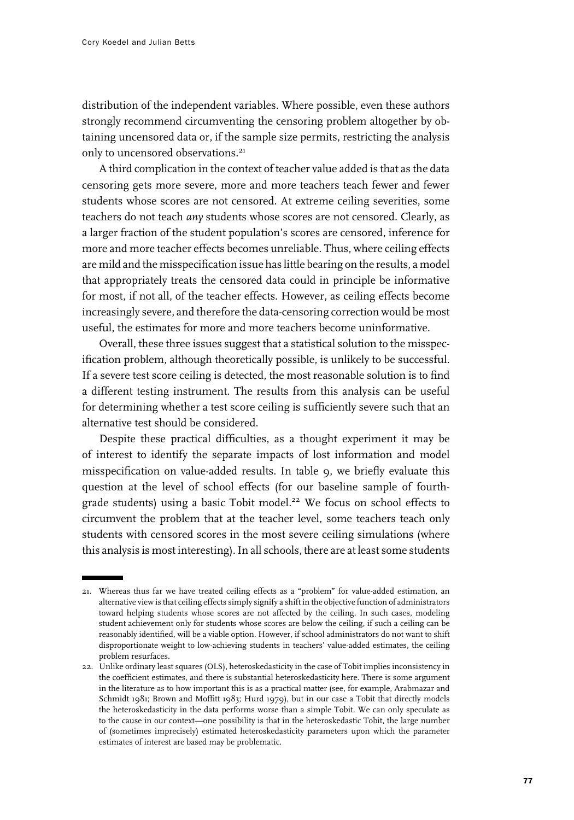distribution of the independent variables. Where possible, even these authors strongly recommend circumventing the censoring problem altogether by obtaining uncensored data or, if the sample size permits, restricting the analysis only to uncensored observations.<sup>21</sup>

A third complication in the context of teacher value added is that as the data censoring gets more severe, more and more teachers teach fewer and fewer students whose scores are not censored. At extreme ceiling severities, some teachers do not teach *any* students whose scores are not censored. Clearly, as a larger fraction of the student population's scores are censored, inference for more and more teacher effects becomes unreliable. Thus, where ceiling effects are mild and the misspecification issue has little bearing on the results, a model that appropriately treats the censored data could in principle be informative for most, if not all, of the teacher effects. However, as ceiling effects become increasingly severe, and therefore the data-censoring correction would be most useful, the estimates for more and more teachers become uninformative.

Overall, these three issues suggest that a statistical solution to the misspecification problem, although theoretically possible, is unlikely to be successful. If a severe test score ceiling is detected, the most reasonable solution is to find a different testing instrument. The results from this analysis can be useful for determining whether a test score ceiling is sufficiently severe such that an alternative test should be considered.

Despite these practical difficulties, as a thought experiment it may be of interest to identify the separate impacts of lost information and model misspecification on value-added results. In table 9, we briefly evaluate this question at the level of school effects (for our baseline sample of fourthgrade students) using a basic Tobit model.<sup>22</sup> We focus on school effects to circumvent the problem that at the teacher level, some teachers teach only students with censored scores in the most severe ceiling simulations (where this analysis is most interesting). In all schools, there are at least some students

<sup>2</sup>1. Whereas thus far we have treated ceiling effects as a "problem" for value-added estimation, an alternative view is that ceiling effects simply signify a shift in the objective function of administrators toward helping students whose scores are not affected by the ceiling. In such cases, modeling student achievement only for students whose scores are below the ceiling, if such a ceiling can be reasonably identified, will be a viable option. However, if school administrators do not want to shift disproportionate weight to low-achieving students in teachers' value-added estimates, the ceiling problem resurfaces.

<sup>22.</sup> Unlike ordinary least squares (OLS), heteroskedasticity in the case of Tobit implies inconsistency in the coefficient estimates, and there is substantial heteroskedasticity here. There is some argument in the literature as to how important this is as a practical matter (see, for example, Arabmazar and Schmidt 1981; Brown and Moffitt 1983; Hurd 1979), but in our case a Tobit that directly models the heteroskedasticity in the data performs worse than a simple Tobit. We can only speculate as to the cause in our context—one possibility is that in the heteroskedastic Tobit, the large number of (sometimes imprecisely) estimated heteroskedasticity parameters upon which the parameter estimates of interest are based may be problematic.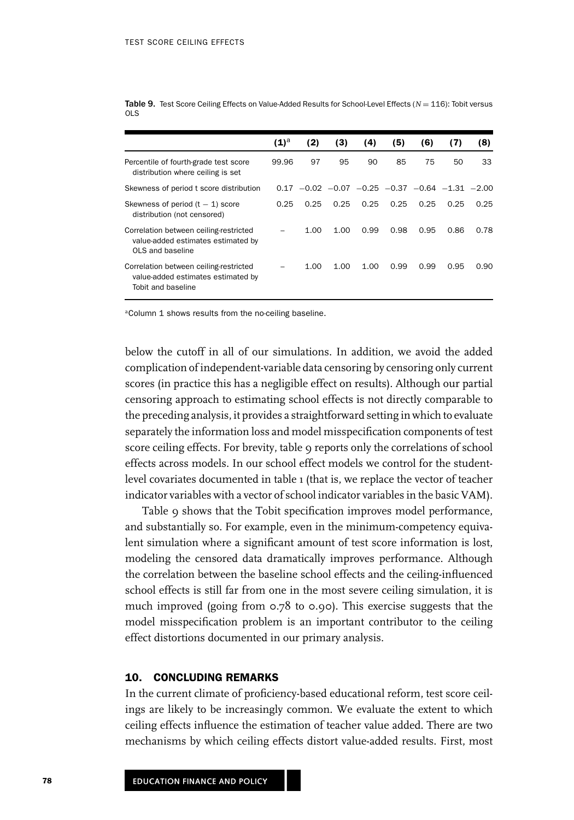|                                                                                                    | (1) <sup>a</sup> | (2)  | (3)  | (4)  | (5)  | (6)  | (7)                                                     | (8)  |
|----------------------------------------------------------------------------------------------------|------------------|------|------|------|------|------|---------------------------------------------------------|------|
| Percentile of fourth-grade test score<br>distribution where ceiling is set                         | 99.96            | 97   | 95   | 90   | 85   | 75   | 50                                                      | 33   |
| Skewness of period t score distribution                                                            |                  |      |      |      |      |      | $0.17 - 0.02 - 0.07 - 0.25 - 0.37 - 0.64 - 1.31 - 2.00$ |      |
| Skewness of period $(t - 1)$ score<br>distribution (not censored)                                  | 0.25             | 0.25 | 0.25 | 0.25 | 0.25 | 0.25 | 0.25                                                    | 0.25 |
| Correlation between ceiling-restricted<br>value-added estimates estimated by<br>OLS and baseline   |                  | 1.00 | 1.00 | 0.99 | 0.98 | 0.95 | 0.86                                                    | 0.78 |
| Correlation between ceiling-restricted<br>value-added estimates estimated by<br>Tobit and baseline |                  | 1.00 | 1.00 | 1.00 | 0.99 | 0.99 | 0.95                                                    | 0.90 |

Table 9. Test Score Ceiling Effects on Value-Added Results for School-Level Effects (*N* = 116): Tobit versus OLS

aColumn 1 shows results from the no-ceiling baseline.

below the cutoff in all of our simulations. In addition, we avoid the added complication of independent-variable data censoring by censoring only current scores (in practice this has a negligible effect on results). Although our partial censoring approach to estimating school effects is not directly comparable to the preceding analysis, it provides a straightforward setting in which to evaluate separately the information loss and model misspecification components of test score ceiling effects. For brevity, table 9 reports only the correlations of school effects across models. In our school effect models we control for the studentlevel covariates documented in table 1 (that is, we replace the vector of teacher indicator variables with a vector of school indicator variables in the basic VAM).

Table 9 shows that the Tobit specification improves model performance, and substantially so. For example, even in the minimum-competency equivalent simulation where a significant amount of test score information is lost, modeling the censored data dramatically improves performance. Although the correlation between the baseline school effects and the ceiling-influenced school effects is still far from one in the most severe ceiling simulation, it is much improved (going from 0.78 to 0.90). This exercise suggests that the model misspecification problem is an important contributor to the ceiling effect distortions documented in our primary analysis.

#### **10. CONCLUDING REMARKS**

In the current climate of proficiency-based educational reform, test score ceilings are likely to be increasingly common. We evaluate the extent to which ceiling effects influence the estimation of teacher value added. There are two mechanisms by which ceiling effects distort value-added results. First, most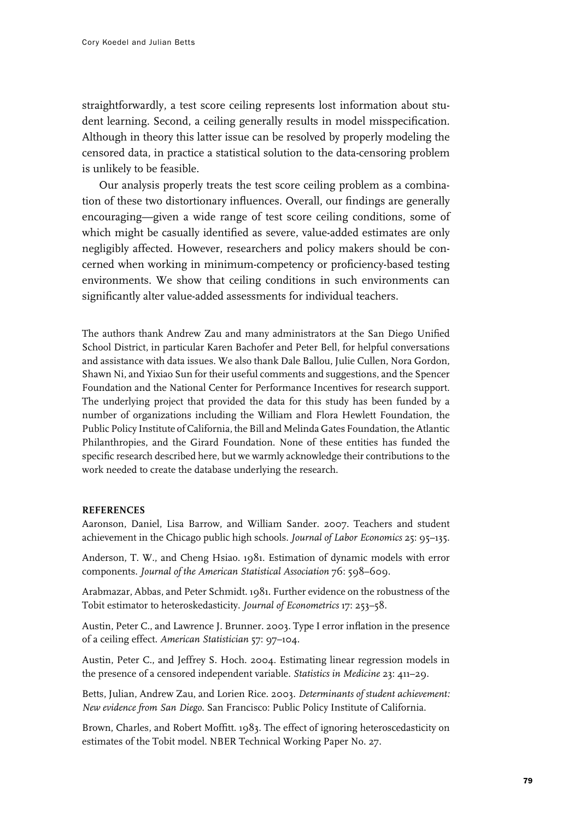straightforwardly, a test score ceiling represents lost information about student learning. Second, a ceiling generally results in model misspecification. Although in theory this latter issue can be resolved by properly modeling the censored data, in practice a statistical solution to the data-censoring problem is unlikely to be feasible.

Our analysis properly treats the test score ceiling problem as a combination of these two distortionary influences. Overall, our findings are generally encouraging—given a wide range of test score ceiling conditions, some of which might be casually identified as severe, value-added estimates are only negligibly affected. However, researchers and policy makers should be concerned when working in minimum-competency or proficiency-based testing environments. We show that ceiling conditions in such environments can significantly alter value-added assessments for individual teachers.

The authors thank Andrew Zau and many administrators at the San Diego Unified School District, in particular Karen Bachofer and Peter Bell, for helpful conversations and assistance with data issues. We also thank Dale Ballou, Julie Cullen, Nora Gordon, Shawn Ni, and Yixiao Sun for their useful comments and suggestions, and the Spencer Foundation and the National Center for Performance Incentives for research support. The underlying project that provided the data for this study has been funded by a number of organizations including the William and Flora Hewlett Foundation, the Public Policy Institute of California, the Bill and Melinda Gates Foundation, the Atlantic Philanthropies, and the Girard Foundation. None of these entities has funded the specific research described here, but we warmly acknowledge their contributions to the work needed to create the database underlying the research.

#### **REFERENCES**

Aaronson, Daniel, Lisa Barrow, and William Sander. 2007. Teachers and student achievement in the Chicago public high schools. *Journal of Labor Economics* 25: 95–135.

Anderson, T. W., and Cheng Hsiao. 1981. Estimation of dynamic models with error components. *Journal of the American Statistical Association* 76: 598–609.

Arabmazar, Abbas, and Peter Schmidt. 1981. Further evidence on the robustness of the Tobit estimator to heteroskedasticity. *Journal of Econometrics* 17: 253–58.

Austin, Peter C., and Lawrence J. Brunner. 2003. Type I error inflation in the presence of a ceiling effect. *American Statistician* 57: 97–104.

Austin, Peter C., and Jeffrey S. Hoch. 2004. Estimating linear regression models in the presence of a censored independent variable. *Statistics in Medicine* 23: 411–29.

Betts, Julian, Andrew Zau, and Lorien Rice. 2003. *Determinants of student achievement: New evidence from San Diego*. San Francisco: Public Policy Institute of California.

Brown, Charles, and Robert Moffitt. 1983. The effect of ignoring heteroscedasticity on estimates of the Tobit model. NBER Technical Working Paper No. 27.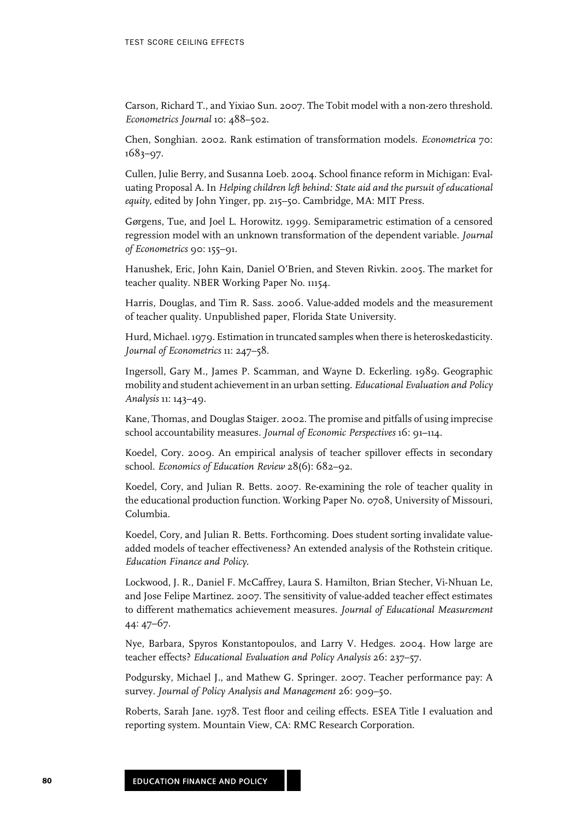Carson, Richard T., and Yixiao Sun. 2007. The Tobit model with a non-zero threshold. *Econometrics Journal* 10: 488–502.

Chen, Songhian. 2002. Rank estimation of transformation models. *Econometrica* 70: 1683–97.

Cullen, Julie Berry, and Susanna Loeb. 2004. School finance reform in Michigan: Evaluating Proposal A. In *Helping children left behind: State aid and the pursuit of educational equity,* edited by John Yinger, pp. 215–50. Cambridge, MA: MIT Press.

Gørgens, Tue, and Joel L. Horowitz. 1999. Semiparametric estimation of a censored regression model with an unknown transformation of the dependent variable. *Journal of Econometrics* 90: 155–91.

Hanushek, Eric, John Kain, Daniel O'Brien, and Steven Rivkin. 2005. The market for teacher quality. NBER Working Paper No. 11154.

Harris, Douglas, and Tim R. Sass. 2006. Value-added models and the measurement of teacher quality. Unpublished paper, Florida State University.

Hurd, Michael. 1979. Estimation in truncated samples when there is heteroskedasticity. *Journal of Econometrics* 11: 247–58.

Ingersoll, Gary M., James P. Scamman, and Wayne D. Eckerling. 1989. Geographic mobility and student achievement in an urban setting. *Educational Evaluation and Policy Analysis* 11: 143–49.

Kane, Thomas, and Douglas Staiger. 2002. The promise and pitfalls of using imprecise school accountability measures. *Journal of Economic Perspectives* 16: 91–114.

Koedel, Cory. 2009. An empirical analysis of teacher spillover effects in secondary school. *Economics of Education Review* 28(6): 682–92.

Koedel, Cory, and Julian R. Betts. 2007. Re-examining the role of teacher quality in the educational production function. Working Paper No. 0708, University of Missouri, Columbia.

Koedel, Cory, and Julian R. Betts. Forthcoming. Does student sorting invalidate valueadded models of teacher effectiveness? An extended analysis of the Rothstein critique. *Education Finance and Policy*.

Lockwood, J. R., Daniel F. McCaffrey, Laura S. Hamilton, Brian Stecher, Vi-Nhuan Le, and Jose Felipe Martinez. 2007. The sensitivity of value-added teacher effect estimates to different mathematics achievement measures. *Journal of Educational Measurement* 44: 47–67.

Nye, Barbara, Spyros Konstantopoulos, and Larry V. Hedges. 2004. How large are teacher effects? *Educational Evaluation and Policy Analysis* 26: 237–57.

Podgursky, Michael J., and Mathew G. Springer. 2007. Teacher performance pay: A survey. *Journal of Policy Analysis and Management* 26: 909–50.

Roberts, Sarah Jane. 1978. Test floor and ceiling effects. ESEA Title I evaluation and reporting system. Mountain View, CA: RMC Research Corporation.